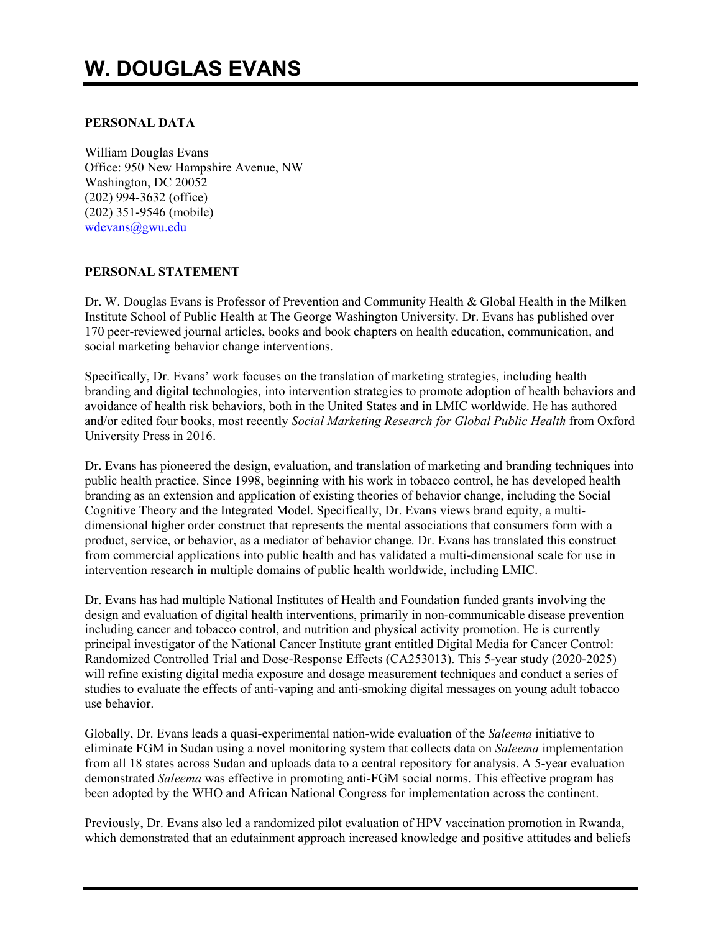# **W. DOUGLAS EVANS**

# **PERSONAL DATA**

William Douglas Evans Office: 950 New Hampshire Avenue, NW Washington, DC 20052 (202) 994-3632 (office) (202) 351-9546 (mobile) wdevans@gwu.edu

# **PERSONAL STATEMENT**

Dr. W. Douglas Evans is Professor of Prevention and Community Health & Global Health in the Milken Institute School of Public Health at The George Washington University. Dr. Evans has published over 170 peer-reviewed journal articles, books and book chapters on health education, communication, and social marketing behavior change interventions.

Specifically, Dr. Evans' work focuses on the translation of marketing strategies, including health branding and digital technologies, into intervention strategies to promote adoption of health behaviors and avoidance of health risk behaviors, both in the United States and in LMIC worldwide. He has authored and/or edited four books, most recently *Social Marketing Research for Global Public Health* from Oxford University Press in 2016.

Dr. Evans has pioneered the design, evaluation, and translation of marketing and branding techniques into public health practice. Since 1998, beginning with his work in tobacco control, he has developed health branding as an extension and application of existing theories of behavior change, including the Social Cognitive Theory and the Integrated Model. Specifically, Dr. Evans views brand equity, a multidimensional higher order construct that represents the mental associations that consumers form with a product, service, or behavior, as a mediator of behavior change. Dr. Evans has translated this construct from commercial applications into public health and has validated a multi-dimensional scale for use in intervention research in multiple domains of public health worldwide, including LMIC.

Dr. Evans has had multiple National Institutes of Health and Foundation funded grants involving the design and evaluation of digital health interventions, primarily in non-communicable disease prevention including cancer and tobacco control, and nutrition and physical activity promotion. He is currently principal investigator of the National Cancer Institute grant entitled Digital Media for Cancer Control: Randomized Controlled Trial and Dose-Response Effects (CA253013). This 5-year study (2020-2025) will refine existing digital media exposure and dosage measurement techniques and conduct a series of studies to evaluate the effects of anti-vaping and anti-smoking digital messages on young adult tobacco use behavior.

Globally, Dr. Evans leads a quasi-experimental nation-wide evaluation of the *Saleema* initiative to eliminate FGM in Sudan using a novel monitoring system that collects data on *Saleema* implementation from all 18 states across Sudan and uploads data to a central repository for analysis. A 5-year evaluation demonstrated *Saleema* was effective in promoting anti-FGM social norms. This effective program has been adopted by the WHO and African National Congress for implementation across the continent.

Previously, Dr. Evans also led a randomized pilot evaluation of HPV vaccination promotion in Rwanda, which demonstrated that an edutainment approach increased knowledge and positive attitudes and beliefs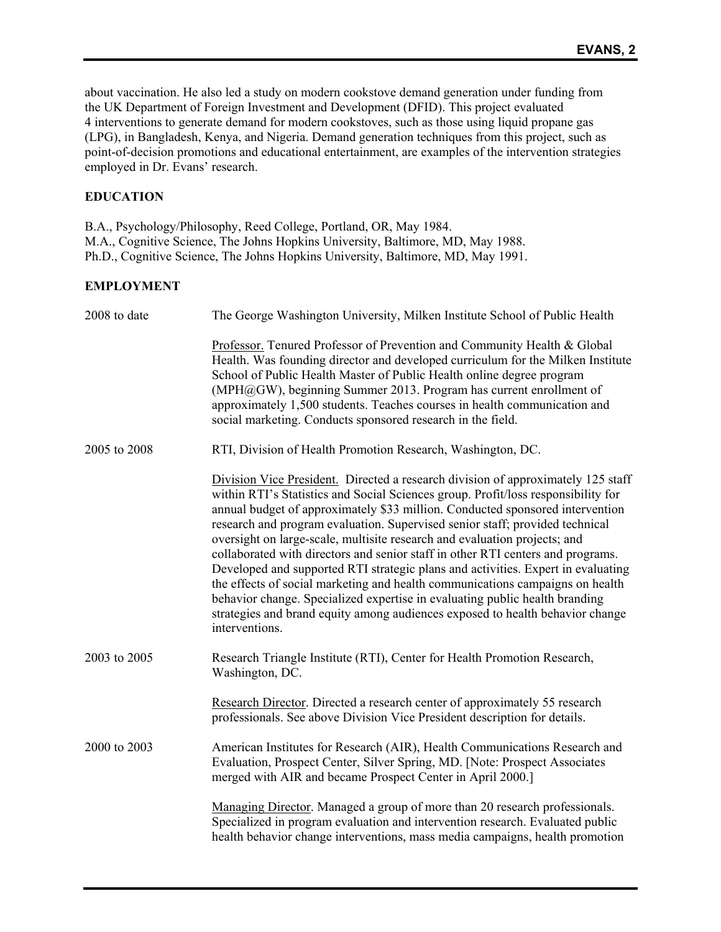about vaccination. He also led a study on modern cookstove demand generation under funding from the UK Department of Foreign Investment and Development (DFID). This project evaluated 4 interventions to generate demand for modern cookstoves, such as those using liquid propane gas (LPG), in Bangladesh, Kenya, and Nigeria. Demand generation techniques from this project, such as point-of-decision promotions and educational entertainment, are examples of the intervention strategies employed in Dr. Evans' research.

# **EDUCATION**

B.A., Psychology/Philosophy, Reed College, Portland, OR, May 1984. M.A., Cognitive Science, The Johns Hopkins University, Baltimore, MD, May 1988. Ph.D., Cognitive Science, The Johns Hopkins University, Baltimore, MD, May 1991.

# **EMPLOYMENT**

| 2008 to date | The George Washington University, Milken Institute School of Public Health                                                                                                                                                                                                                                                                                                                                                                                                                                                                                                                                                                                                                                                                                                                                                                                    |  |  |  |
|--------------|---------------------------------------------------------------------------------------------------------------------------------------------------------------------------------------------------------------------------------------------------------------------------------------------------------------------------------------------------------------------------------------------------------------------------------------------------------------------------------------------------------------------------------------------------------------------------------------------------------------------------------------------------------------------------------------------------------------------------------------------------------------------------------------------------------------------------------------------------------------|--|--|--|
|              | Professor. Tenured Professor of Prevention and Community Health & Global<br>Health. Was founding director and developed curriculum for the Milken Institute<br>School of Public Health Master of Public Health online degree program<br>(MPH@GW), beginning Summer 2013. Program has current enrollment of<br>approximately 1,500 students. Teaches courses in health communication and<br>social marketing. Conducts sponsored research in the field.                                                                                                                                                                                                                                                                                                                                                                                                        |  |  |  |
| 2005 to 2008 | RTI, Division of Health Promotion Research, Washington, DC.                                                                                                                                                                                                                                                                                                                                                                                                                                                                                                                                                                                                                                                                                                                                                                                                   |  |  |  |
|              | Division Vice President. Directed a research division of approximately 125 staff<br>within RTI's Statistics and Social Sciences group. Profit/loss responsibility for<br>annual budget of approximately \$33 million. Conducted sponsored intervention<br>research and program evaluation. Supervised senior staff; provided technical<br>oversight on large-scale, multisite research and evaluation projects; and<br>collaborated with directors and senior staff in other RTI centers and programs.<br>Developed and supported RTI strategic plans and activities. Expert in evaluating<br>the effects of social marketing and health communications campaigns on health<br>behavior change. Specialized expertise in evaluating public health branding<br>strategies and brand equity among audiences exposed to health behavior change<br>interventions. |  |  |  |
| 2003 to 2005 | Research Triangle Institute (RTI), Center for Health Promotion Research,<br>Washington, DC.                                                                                                                                                                                                                                                                                                                                                                                                                                                                                                                                                                                                                                                                                                                                                                   |  |  |  |
|              | Research Director. Directed a research center of approximately 55 research<br>professionals. See above Division Vice President description for details.                                                                                                                                                                                                                                                                                                                                                                                                                                                                                                                                                                                                                                                                                                       |  |  |  |
| 2000 to 2003 | American Institutes for Research (AIR), Health Communications Research and<br>Evaluation, Prospect Center, Silver Spring, MD. [Note: Prospect Associates<br>merged with AIR and became Prospect Center in April 2000.]                                                                                                                                                                                                                                                                                                                                                                                                                                                                                                                                                                                                                                        |  |  |  |
|              | Managing Director. Managed a group of more than 20 research professionals.<br>Specialized in program evaluation and intervention research. Evaluated public<br>health behavior change interventions, mass media campaigns, health promotion                                                                                                                                                                                                                                                                                                                                                                                                                                                                                                                                                                                                                   |  |  |  |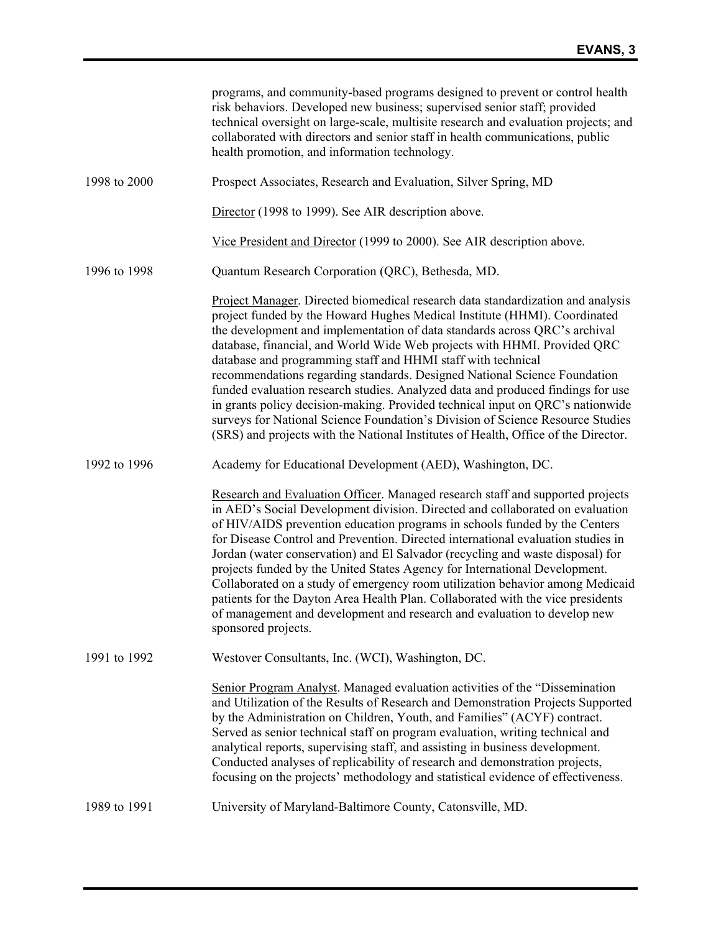|              | programs, and community-based programs designed to prevent or control health<br>risk behaviors. Developed new business; supervised senior staff; provided<br>technical oversight on large-scale, multisite research and evaluation projects; and<br>collaborated with directors and senior staff in health communications, public<br>health promotion, and information technology.                                                                                                                                                                                                                                                                                                                                                                                                                               |
|--------------|------------------------------------------------------------------------------------------------------------------------------------------------------------------------------------------------------------------------------------------------------------------------------------------------------------------------------------------------------------------------------------------------------------------------------------------------------------------------------------------------------------------------------------------------------------------------------------------------------------------------------------------------------------------------------------------------------------------------------------------------------------------------------------------------------------------|
| 1998 to 2000 | Prospect Associates, Research and Evaluation, Silver Spring, MD                                                                                                                                                                                                                                                                                                                                                                                                                                                                                                                                                                                                                                                                                                                                                  |
|              | Director (1998 to 1999). See AIR description above.                                                                                                                                                                                                                                                                                                                                                                                                                                                                                                                                                                                                                                                                                                                                                              |
|              | Vice President and Director (1999 to 2000). See AIR description above.                                                                                                                                                                                                                                                                                                                                                                                                                                                                                                                                                                                                                                                                                                                                           |
| 1996 to 1998 | Quantum Research Corporation (QRC), Bethesda, MD.                                                                                                                                                                                                                                                                                                                                                                                                                                                                                                                                                                                                                                                                                                                                                                |
|              | Project Manager. Directed biomedical research data standardization and analysis<br>project funded by the Howard Hughes Medical Institute (HHMI). Coordinated<br>the development and implementation of data standards across QRC's archival<br>database, financial, and World Wide Web projects with HHMI. Provided QRC<br>database and programming staff and HHMI staff with technical<br>recommendations regarding standards. Designed National Science Foundation<br>funded evaluation research studies. Analyzed data and produced findings for use<br>in grants policy decision-making. Provided technical input on QRC's nationwide<br>surveys for National Science Foundation's Division of Science Resource Studies<br>(SRS) and projects with the National Institutes of Health, Office of the Director. |
| 1992 to 1996 | Academy for Educational Development (AED), Washington, DC.                                                                                                                                                                                                                                                                                                                                                                                                                                                                                                                                                                                                                                                                                                                                                       |
|              | Research and Evaluation Officer. Managed research staff and supported projects<br>in AED's Social Development division. Directed and collaborated on evaluation<br>of HIV/AIDS prevention education programs in schools funded by the Centers<br>for Disease Control and Prevention. Directed international evaluation studies in<br>Jordan (water conservation) and El Salvador (recycling and waste disposal) for<br>projects funded by the United States Agency for International Development.<br>Collaborated on a study of emergency room utilization behavior among Medicaid<br>patients for the Dayton Area Health Plan. Collaborated with the vice presidents<br>of management and development and research and evaluation to develop new<br>sponsored projects.                                         |
| 1991 to 1992 | Westover Consultants, Inc. (WCI), Washington, DC.                                                                                                                                                                                                                                                                                                                                                                                                                                                                                                                                                                                                                                                                                                                                                                |
|              | Senior Program Analyst. Managed evaluation activities of the "Dissemination<br>and Utilization of the Results of Research and Demonstration Projects Supported<br>by the Administration on Children, Youth, and Families" (ACYF) contract.<br>Served as senior technical staff on program evaluation, writing technical and<br>analytical reports, supervising staff, and assisting in business development.<br>Conducted analyses of replicability of research and demonstration projects,<br>focusing on the projects' methodology and statistical evidence of effectiveness.                                                                                                                                                                                                                                  |
| 1989 to 1991 | University of Maryland-Baltimore County, Catonsville, MD.                                                                                                                                                                                                                                                                                                                                                                                                                                                                                                                                                                                                                                                                                                                                                        |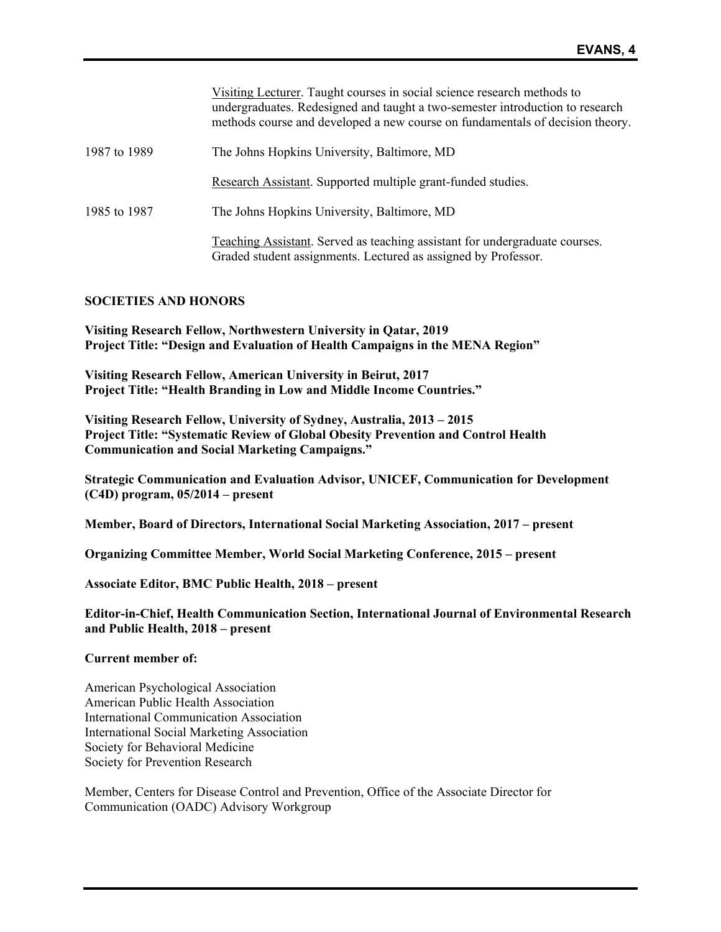|              | Visiting Lecturer. Taught courses in social science research methods to<br>undergraduates. Redesigned and taught a two-semester introduction to research<br>methods course and developed a new course on fundamentals of decision theory. |
|--------------|-------------------------------------------------------------------------------------------------------------------------------------------------------------------------------------------------------------------------------------------|
| 1987 to 1989 | The Johns Hopkins University, Baltimore, MD                                                                                                                                                                                               |
|              | Research Assistant. Supported multiple grant-funded studies.                                                                                                                                                                              |
| 1985 to 1987 | The Johns Hopkins University, Baltimore, MD                                                                                                                                                                                               |
|              | Teaching Assistant. Served as teaching assistant for undergraduate courses.<br>Graded student assignments. Lectured as assigned by Professor.                                                                                             |

### **SOCIETIES AND HONORS**

**Visiting Research Fellow, Northwestern University in Qatar, 2019 Project Title: "Design and Evaluation of Health Campaigns in the MENA Region"**

**Visiting Research Fellow, American University in Beirut, 2017 Project Title: "Health Branding in Low and Middle Income Countries."**

**Visiting Research Fellow, University of Sydney, Australia, 2013 – 2015 Project Title: "Systematic Review of Global Obesity Prevention and Control Health Communication and Social Marketing Campaigns."**

**Strategic Communication and Evaluation Advisor, UNICEF, Communication for Development (C4D) program, 05/2014 – present** 

**Member, Board of Directors, International Social Marketing Association, 2017 – present** 

**Organizing Committee Member, World Social Marketing Conference, 2015 – present** 

**Associate Editor, BMC Public Health, 2018 – present**

**Editor-in-Chief, Health Communication Section, International Journal of Environmental Research and Public Health, 2018 – present** 

#### **Current member of:**

American Psychological Association American Public Health Association International Communication Association International Social Marketing Association Society for Behavioral Medicine Society for Prevention Research

Member, Centers for Disease Control and Prevention, Office of the Associate Director for Communication (OADC) Advisory Workgroup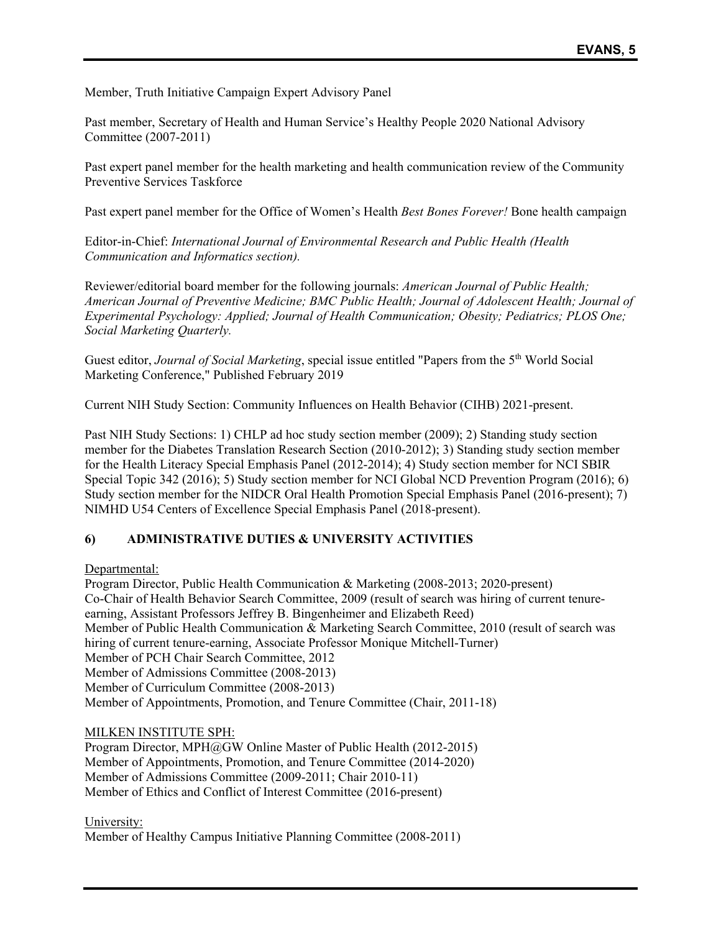Member, Truth Initiative Campaign Expert Advisory Panel

Past member, Secretary of Health and Human Service's Healthy People 2020 National Advisory Committee (2007-2011)

Past expert panel member for the health marketing and health communication review of the Community Preventive Services Taskforce

Past expert panel member for the Office of Women's Health *Best Bones Forever!* Bone health campaign

Editor-in-Chief: *International Journal of Environmental Research and Public Health (Health Communication and Informatics section).*

Reviewer/editorial board member for the following journals: *American Journal of Public Health; American Journal of Preventive Medicine; BMC Public Health; Journal of Adolescent Health; Journal of Experimental Psychology: Applied; Journal of Health Communication; Obesity; Pediatrics; PLOS One; Social Marketing Quarterly.*

Guest editor, *Journal of Social Marketing*, special issue entitled "Papers from the 5<sup>th</sup> World Social Marketing Conference," Published February 2019

Current NIH Study Section: Community Influences on Health Behavior (CIHB) 2021-present.

Past NIH Study Sections: 1) CHLP ad hoc study section member (2009); 2) Standing study section member for the Diabetes Translation Research Section (2010-2012); 3) Standing study section member for the Health Literacy Special Emphasis Panel (2012-2014); 4) Study section member for NCI SBIR Special Topic 342 (2016); 5) Study section member for NCI Global NCD Prevention Program (2016); 6) Study section member for the NIDCR Oral Health Promotion Special Emphasis Panel (2016-present); 7) NIMHD U54 Centers of Excellence Special Emphasis Panel (2018-present).

# **6) ADMINISTRATIVE DUTIES & UNIVERSITY ACTIVITIES**

## Departmental:

Program Director, Public Health Communication & Marketing (2008-2013; 2020-present) Co-Chair of Health Behavior Search Committee, 2009 (result of search was hiring of current tenureearning, Assistant Professors Jeffrey B. Bingenheimer and Elizabeth Reed) Member of Public Health Communication & Marketing Search Committee, 2010 (result of search was hiring of current tenure-earning, Associate Professor Monique Mitchell-Turner) Member of PCH Chair Search Committee, 2012 Member of Admissions Committee (2008-2013) Member of Curriculum Committee (2008-2013) Member of Appointments, Promotion, and Tenure Committee (Chair, 2011-18)

## MILKEN INSTITUTE SPH:

Program Director, MPH@GW Online Master of Public Health (2012-2015) Member of Appointments, Promotion, and Tenure Committee (2014-2020) Member of Admissions Committee (2009-2011; Chair 2010-11) Member of Ethics and Conflict of Interest Committee (2016-present)

## University:

Member of Healthy Campus Initiative Planning Committee (2008-2011)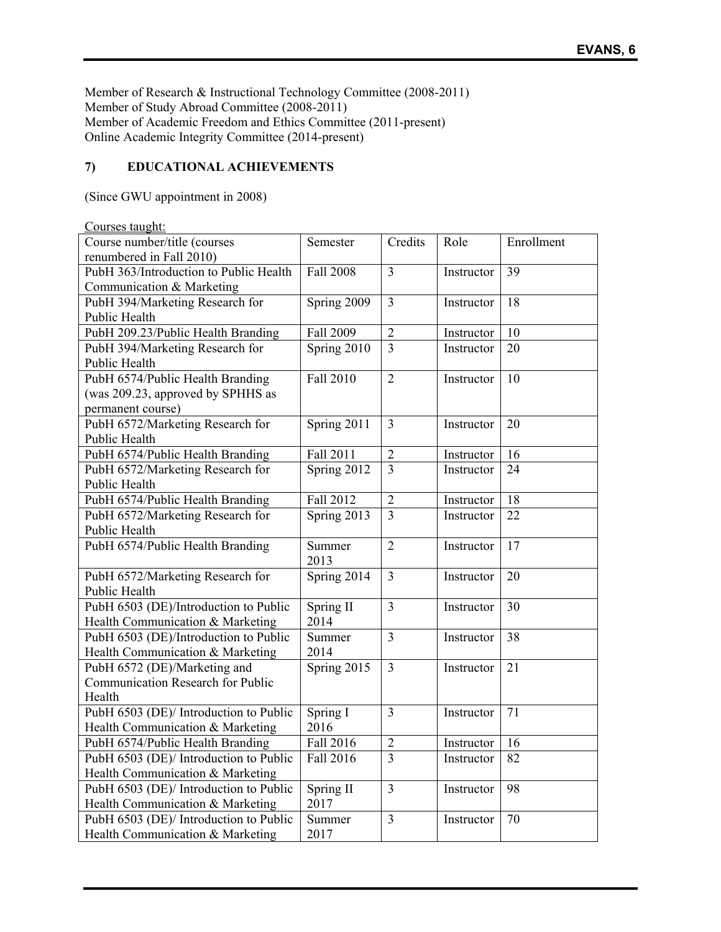Member of Research & Instructional Technology Committee (2008-2011) Member of Study Abroad Committee (2008-2011) Member of Academic Freedom and Ethics Committee (2011-present) Online Academic Integrity Committee (2014-present)

# **7) EDUCATIONAL ACHIEVEMENTS**

(Since GWU appointment in 2008)

| Courses taught:                        |             |                |            |            |
|----------------------------------------|-------------|----------------|------------|------------|
| Course number/title (courses           | Semester    | Credits        | Role       | Enrollment |
| renumbered in Fall 2010)               |             |                |            |            |
| PubH 363/Introduction to Public Health | Fall 2008   | $\overline{3}$ | Instructor | 39         |
| Communication & Marketing              |             |                |            |            |
| PubH 394/Marketing Research for        | Spring 2009 | 3              | Instructor | 18         |
| Public Health                          |             |                |            |            |
| PubH 209.23/Public Health Branding     | Fall 2009   | $\overline{2}$ | Instructor | 10         |
| PubH 394/Marketing Research for        | Spring 2010 | $\overline{3}$ | Instructor | 20         |
| Public Health                          |             |                |            |            |
| PubH 6574/Public Health Branding       | Fall 2010   | $\overline{2}$ | Instructor | 10         |
| (was 209.23, approved by SPHHS as      |             |                |            |            |
| permanent course)                      |             |                |            |            |
| PubH 6572/Marketing Research for       | Spring 2011 | 3              | Instructor | 20         |
| Public Health                          |             |                |            |            |
| PubH 6574/Public Health Branding       | Fall 2011   | $\overline{2}$ | Instructor | 16         |
| PubH 6572/Marketing Research for       | Spring 2012 | 3              | Instructor | 24         |
| Public Health                          |             |                |            |            |
| PubH 6574/Public Health Branding       | Fall 2012   | $\overline{2}$ | Instructor | 18         |
| PubH 6572/Marketing Research for       | Spring 2013 | $\overline{3}$ | Instructor | 22         |
| Public Health                          |             |                |            |            |
| PubH 6574/Public Health Branding       | Summer      | $\overline{2}$ | Instructor | 17         |
|                                        | 2013        |                |            |            |
| PubH 6572/Marketing Research for       | Spring 2014 | 3              | Instructor | 20         |
| Public Health                          |             |                |            |            |
| PubH 6503 (DE)/Introduction to Public  | Spring II   | 3              | Instructor | 30         |
| Health Communication & Marketing       | 2014        |                |            |            |
| PubH 6503 (DE)/Introduction to Public  | Summer      | 3              | Instructor | 38         |
| Health Communication & Marketing       | 2014        |                |            |            |
| PubH 6572 (DE)/Marketing and           | Spring 2015 | $\overline{3}$ | Instructor | 21         |
| Communication Research for Public      |             |                |            |            |
| Health                                 |             |                |            |            |
| PubH 6503 (DE)/ Introduction to Public | Spring I    | 3              | Instructor | 71         |
| Health Communication & Marketing       | 2016        |                |            |            |
| PubH 6574/Public Health Branding       | Fall 2016   | $\overline{2}$ | Instructor | 16         |
| PubH 6503 (DE)/ Introduction to Public | Fall 2016   | 3              | Instructor | 82         |
| Health Communication & Marketing       |             |                |            |            |
| PubH 6503 (DE)/ Introduction to Public | Spring II   | 3              | Instructor | 98         |
| Health Communication & Marketing       | 2017        |                |            |            |
| PubH 6503 (DE)/ Introduction to Public | Summer      | 3              | Instructor | 70         |
| Health Communication & Marketing       | 2017        |                |            |            |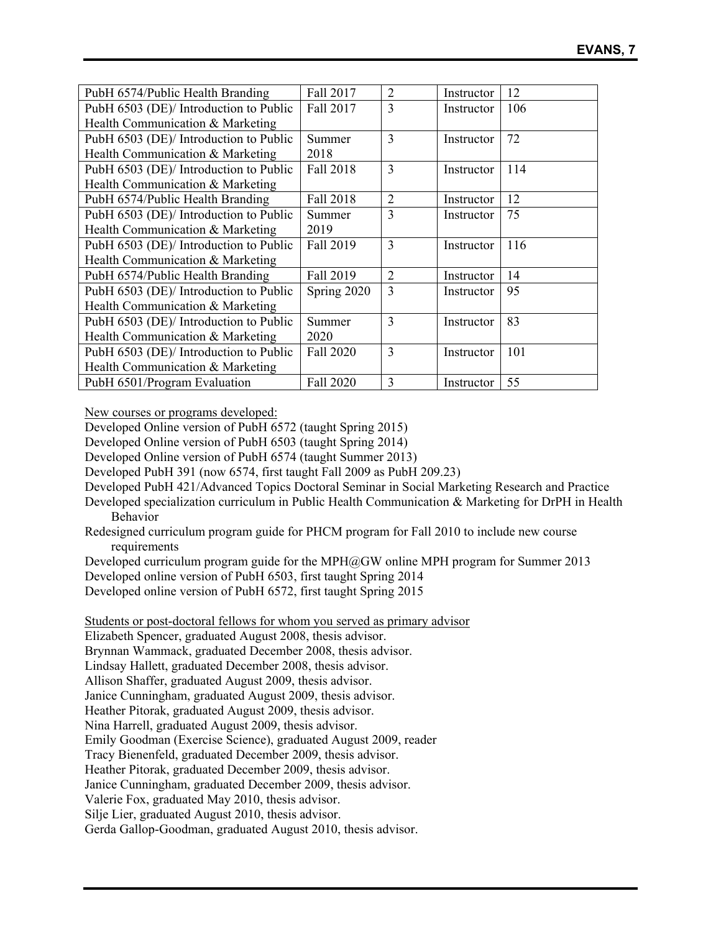| PubH 6574/Public Health Branding       | Fall 2017   | $\overline{2}$ | Instructor | 12  |
|----------------------------------------|-------------|----------------|------------|-----|
| PubH 6503 (DE)/ Introduction to Public | Fall 2017   | 3              | Instructor | 106 |
| Health Communication & Marketing       |             |                |            |     |
| PubH 6503 (DE)/ Introduction to Public | Summer      | 3              | Instructor | 72  |
| Health Communication & Marketing       | 2018        |                |            |     |
| PubH 6503 (DE)/ Introduction to Public | Fall 2018   | 3              | Instructor | 114 |
| Health Communication & Marketing       |             |                |            |     |
| PubH 6574/Public Health Branding       | Fall 2018   | 2              | Instructor | 12  |
| PubH 6503 (DE)/ Introduction to Public | Summer      | 3              | Instructor | 75  |
| Health Communication & Marketing       | 2019        |                |            |     |
| PubH 6503 (DE)/ Introduction to Public | Fall 2019   | 3              | Instructor | 116 |
| Health Communication & Marketing       |             |                |            |     |
| PubH 6574/Public Health Branding       | Fall 2019   | 2              | Instructor | 14  |
| PubH 6503 (DE)/ Introduction to Public | Spring 2020 | 3              | Instructor | 95  |
| Health Communication & Marketing       |             |                |            |     |
| PubH 6503 (DE)/ Introduction to Public | Summer      | 3              | Instructor | 83  |
| Health Communication & Marketing       | 2020        |                |            |     |
| PubH 6503 (DE)/ Introduction to Public | Fall 2020   | 3              | Instructor | 101 |
| Health Communication & Marketing       |             |                |            |     |
| PubH 6501/Program Evaluation           | Fall 2020   | 3              | Instructor | 55  |

New courses or programs developed:

Developed Online version of PubH 6572 (taught Spring 2015)

Developed Online version of PubH 6503 (taught Spring 2014)

Developed Online version of PubH 6574 (taught Summer 2013)

Developed PubH 391 (now 6574, first taught Fall 2009 as PubH 209.23)

Developed PubH 421/Advanced Topics Doctoral Seminar in Social Marketing Research and Practice

Developed specialization curriculum in Public Health Communication & Marketing for DrPH in Health Behavior

Redesigned curriculum program guide for PHCM program for Fall 2010 to include new course requirements

Developed curriculum program guide for the MPH@GW online MPH program for Summer 2013

Developed online version of PubH 6503, first taught Spring 2014

Developed online version of PubH 6572, first taught Spring 2015

Students or post-doctoral fellows for whom you served as primary advisor

Elizabeth Spencer, graduated August 2008, thesis advisor.

Brynnan Wammack, graduated December 2008, thesis advisor.

Lindsay Hallett, graduated December 2008, thesis advisor.

Allison Shaffer, graduated August 2009, thesis advisor.

Janice Cunningham, graduated August 2009, thesis advisor.

Heather Pitorak, graduated August 2009, thesis advisor.

Nina Harrell, graduated August 2009, thesis advisor.

Emily Goodman (Exercise Science), graduated August 2009, reader

Tracy Bienenfeld, graduated December 2009, thesis advisor.

Heather Pitorak, graduated December 2009, thesis advisor.

Janice Cunningham, graduated December 2009, thesis advisor.

Valerie Fox, graduated May 2010, thesis advisor.

Silje Lier, graduated August 2010, thesis advisor.

Gerda Gallop-Goodman, graduated August 2010, thesis advisor.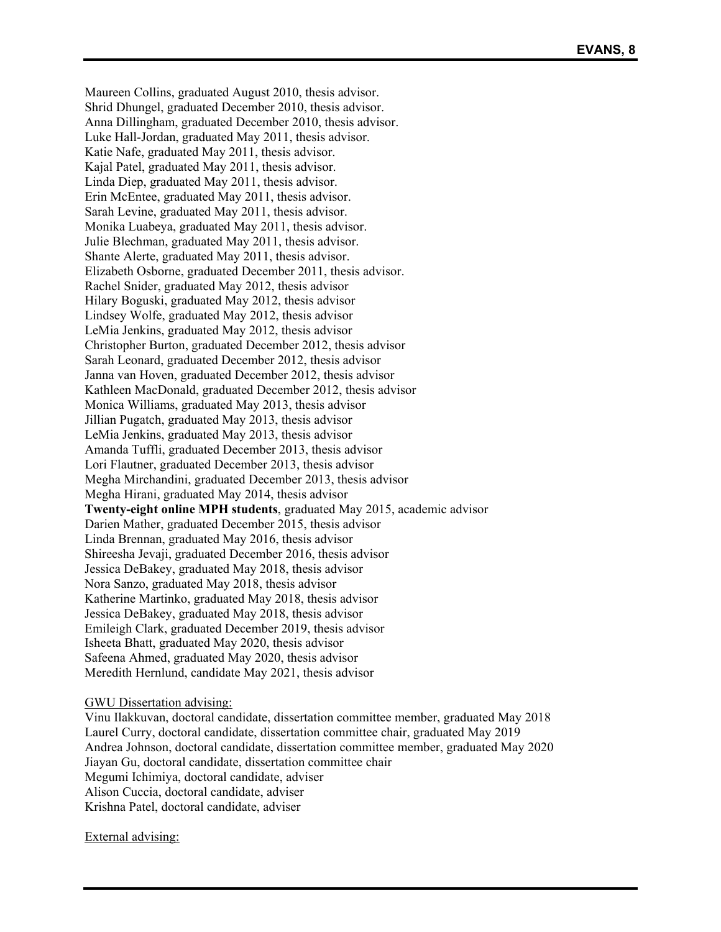Maureen Collins, graduated August 2010, thesis advisor. Shrid Dhungel, graduated December 2010, thesis advisor. Anna Dillingham, graduated December 2010, thesis advisor. Luke Hall-Jordan, graduated May 2011, thesis advisor. Katie Nafe, graduated May 2011, thesis advisor. Kajal Patel, graduated May 2011, thesis advisor. Linda Diep, graduated May 2011, thesis advisor. Erin McEntee, graduated May 2011, thesis advisor. Sarah Levine, graduated May 2011, thesis advisor. Monika Luabeya, graduated May 2011, thesis advisor. Julie Blechman, graduated May 2011, thesis advisor. Shante Alerte, graduated May 2011, thesis advisor. Elizabeth Osborne, graduated December 2011, thesis advisor. Rachel Snider, graduated May 2012, thesis advisor Hilary Boguski, graduated May 2012, thesis advisor Lindsey Wolfe, graduated May 2012, thesis advisor LeMia Jenkins, graduated May 2012, thesis advisor Christopher Burton, graduated December 2012, thesis advisor Sarah Leonard, graduated December 2012, thesis advisor Janna van Hoven, graduated December 2012, thesis advisor Kathleen MacDonald, graduated December 2012, thesis advisor Monica Williams, graduated May 2013, thesis advisor Jillian Pugatch, graduated May 2013, thesis advisor LeMia Jenkins, graduated May 2013, thesis advisor Amanda Tuffli, graduated December 2013, thesis advisor Lori Flautner, graduated December 2013, thesis advisor Megha Mirchandini, graduated December 2013, thesis advisor Megha Hirani, graduated May 2014, thesis advisor **Twenty-eight online MPH students**, graduated May 2015, academic advisor Darien Mather, graduated December 2015, thesis advisor Linda Brennan, graduated May 2016, thesis advisor Shireesha Jevaji, graduated December 2016, thesis advisor Jessica DeBakey, graduated May 2018, thesis advisor Nora Sanzo, graduated May 2018, thesis advisor Katherine Martinko, graduated May 2018, thesis advisor Jessica DeBakey, graduated May 2018, thesis advisor Emileigh Clark, graduated December 2019, thesis advisor Isheeta Bhatt, graduated May 2020, thesis advisor Safeena Ahmed, graduated May 2020, thesis advisor Meredith Hernlund, candidate May 2021, thesis advisor

#### GWU Dissertation advising:

Vinu Ilakkuvan, doctoral candidate, dissertation committee member, graduated May 2018 Laurel Curry, doctoral candidate, dissertation committee chair, graduated May 2019 Andrea Johnson, doctoral candidate, dissertation committee member, graduated May 2020 Jiayan Gu, doctoral candidate, dissertation committee chair Megumi Ichimiya, doctoral candidate, adviser Alison Cuccia, doctoral candidate, adviser Krishna Patel, doctoral candidate, adviser

External advising: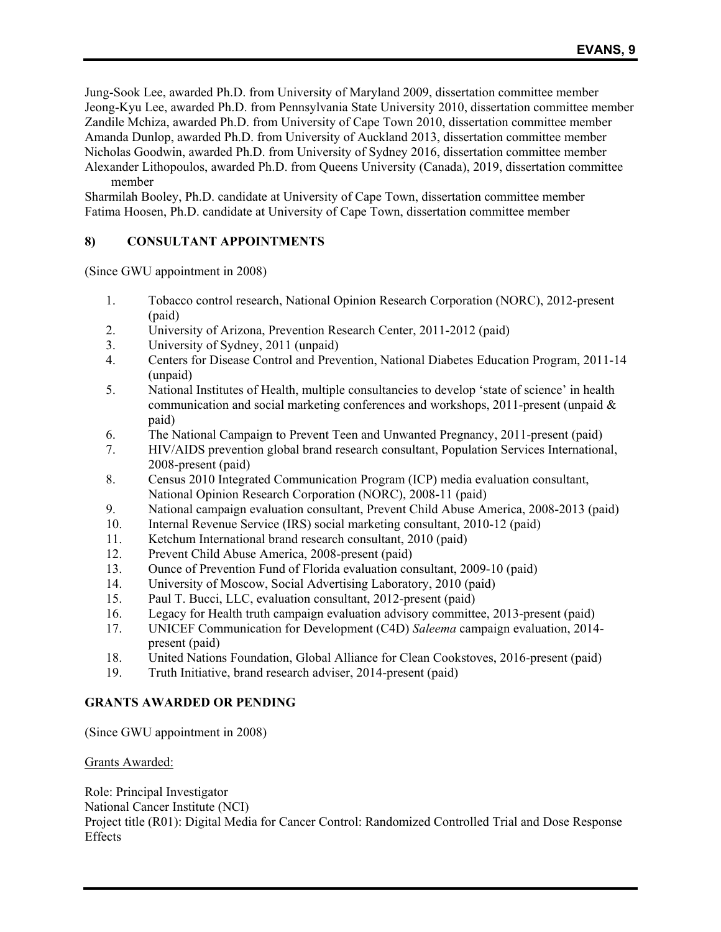Jung-Sook Lee, awarded Ph.D. from University of Maryland 2009, dissertation committee member Jeong-Kyu Lee, awarded Ph.D. from Pennsylvania State University 2010, dissertation committee member Zandile Mchiza, awarded Ph.D. from University of Cape Town 2010, dissertation committee member Amanda Dunlop, awarded Ph.D. from University of Auckland 2013, dissertation committee member Nicholas Goodwin, awarded Ph.D. from University of Sydney 2016, dissertation committee member Alexander Lithopoulos, awarded Ph.D. from Queens University (Canada), 2019, dissertation committee member

Sharmilah Booley, Ph.D. candidate at University of Cape Town, dissertation committee member Fatima Hoosen, Ph.D. candidate at University of Cape Town, dissertation committee member

# **8) CONSULTANT APPOINTMENTS**

(Since GWU appointment in 2008)

- 1. Tobacco control research, National Opinion Research Corporation (NORC), 2012-present (paid)
- 2. University of Arizona, Prevention Research Center, 2011-2012 (paid)
- 3. University of Sydney, 2011 (unpaid)
- 4. Centers for Disease Control and Prevention, National Diabetes Education Program, 2011-14 (unpaid)
- 5. National Institutes of Health, multiple consultancies to develop 'state of science' in health communication and social marketing conferences and workshops, 2011-present (unpaid  $\&$ paid)
- 6. The National Campaign to Prevent Teen and Unwanted Pregnancy, 2011-present (paid)
- 7. HIV/AIDS prevention global brand research consultant, Population Services International, 2008-present (paid)
- 8. Census 2010 Integrated Communication Program (ICP) media evaluation consultant, National Opinion Research Corporation (NORC), 2008-11 (paid)
- 9. National campaign evaluation consultant, Prevent Child Abuse America, 2008-2013 (paid)
- 10. Internal Revenue Service (IRS) social marketing consultant, 2010-12 (paid)
- 11. Ketchum International brand research consultant, 2010 (paid)
- 12. Prevent Child Abuse America, 2008-present (paid)
- 13. Ounce of Prevention Fund of Florida evaluation consultant, 2009-10 (paid)
- 14. University of Moscow, Social Advertising Laboratory, 2010 (paid)
- 15. Paul T. Bucci, LLC, evaluation consultant, 2012-present (paid)
- 16. Legacy for Health truth campaign evaluation advisory committee, 2013-present (paid)
- 17. UNICEF Communication for Development (C4D) *Saleema* campaign evaluation, 2014 present (paid)
- 18. United Nations Foundation, Global Alliance for Clean Cookstoves, 2016-present (paid)
- 19. Truth Initiative, brand research adviser, 2014-present (paid)

## **GRANTS AWARDED OR PENDING**

(Since GWU appointment in 2008)

## Grants Awarded:

Role: Principal Investigator National Cancer Institute (NCI) Project title (R01): Digital Media for Cancer Control: Randomized Controlled Trial and Dose Response **Effects**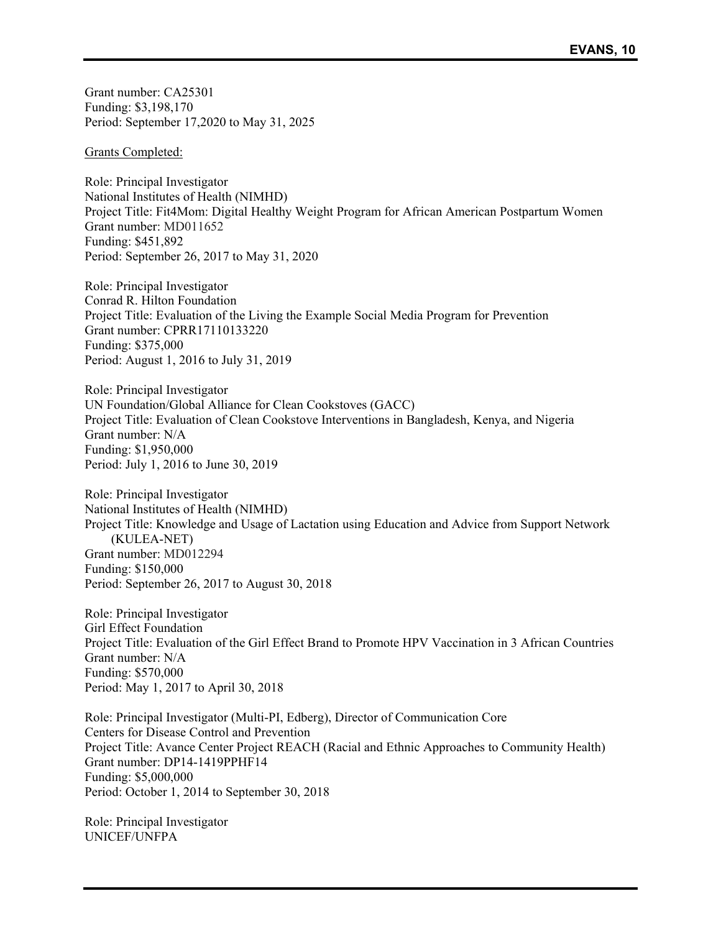Grant number: CA25301 Funding: \$3,198,170 Period: September 17,2020 to May 31, 2025

Grants Completed:

Role: Principal Investigator National Institutes of Health (NIMHD) Project Title: Fit4Mom: Digital Healthy Weight Program for African American Postpartum Women Grant number: MD011652 Funding: \$451,892 Period: September 26, 2017 to May 31, 2020

Role: Principal Investigator Conrad R. Hilton Foundation Project Title: Evaluation of the Living the Example Social Media Program for Prevention Grant number: CPRR17110133220 Funding: \$375,000 Period: August 1, 2016 to July 31, 2019

Role: Principal Investigator UN Foundation/Global Alliance for Clean Cookstoves (GACC) Project Title: Evaluation of Clean Cookstove Interventions in Bangladesh, Kenya, and Nigeria Grant number: N/A Funding: \$1,950,000 Period: July 1, 2016 to June 30, 2019

Role: Principal Investigator National Institutes of Health (NIMHD) Project Title: Knowledge and Usage of Lactation using Education and Advice from Support Network (KULEA-NET) Grant number: MD012294 Funding: \$150,000 Period: September 26, 2017 to August 30, 2018

Role: Principal Investigator Girl Effect Foundation Project Title: Evaluation of the Girl Effect Brand to Promote HPV Vaccination in 3 African Countries Grant number: N/A Funding: \$570,000 Period: May 1, 2017 to April 30, 2018

Role: Principal Investigator (Multi-PI, Edberg), Director of Communication Core Centers for Disease Control and Prevention Project Title: Avance Center Project REACH (Racial and Ethnic Approaches to Community Health) Grant number: DP14-1419PPHF14 Funding: \$5,000,000 Period: October 1, 2014 to September 30, 2018

Role: Principal Investigator UNICEF/UNFPA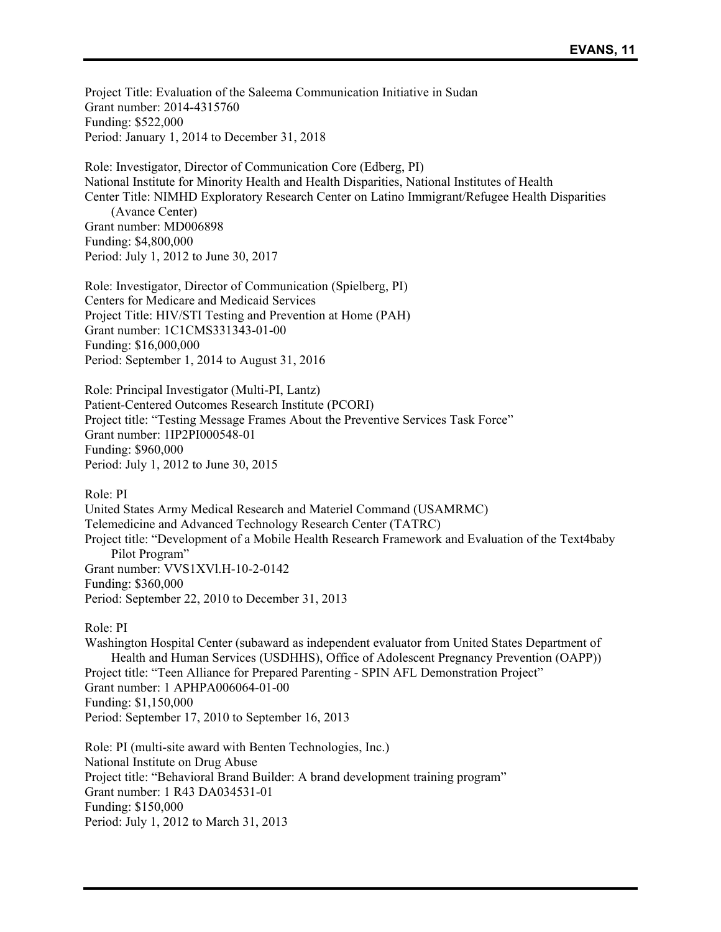Project Title: Evaluation of the Saleema Communication Initiative in Sudan Grant number: 2014-4315760 Funding: \$522,000 Period: January 1, 2014 to December 31, 2018

Role: Investigator, Director of Communication Core (Edberg, PI) National Institute for Minority Health and Health Disparities, National Institutes of Health Center Title: NIMHD Exploratory Research Center on Latino Immigrant/Refugee Health Disparities (Avance Center) Grant number: MD006898 Funding: \$4,800,000 Period: July 1, 2012 to June 30, 2017

Role: Investigator, Director of Communication (Spielberg, PI) Centers for Medicare and Medicaid Services Project Title: HIV/STI Testing and Prevention at Home (PAH) Grant number: 1C1CMS331343-01-00 Funding: \$16,000,000 Period: September 1, 2014 to August 31, 2016

Role: Principal Investigator (Multi-PI, Lantz) Patient-Centered Outcomes Research Institute (PCORI) Project title: "Testing Message Frames About the Preventive Services Task Force" Grant number: 1IP2PI000548-01 Funding: \$960,000 Period: July 1, 2012 to June 30, 2015

Role: PI United States Army Medical Research and Materiel Command (USAMRMC) Telemedicine and Advanced Technology Research Center (TATRC) Project title: "Development of a Mobile Health Research Framework and Evaluation of the Text4baby Pilot Program" Grant number: VVS1XVl.H-10-2-0142 Funding: \$360,000 Period: September 22, 2010 to December 31, 2013

Role: PI

Washington Hospital Center (subaward as independent evaluator from United States Department of Health and Human Services (USDHHS), Office of Adolescent Pregnancy Prevention (OAPP)) Project title: "Teen Alliance for Prepared Parenting - SPIN AFL Demonstration Project" Grant number: 1 APHPA006064-01-00 Funding: \$1,150,000 Period: September 17, 2010 to September 16, 2013

Role: PI (multi-site award with Benten Technologies, Inc.) National Institute on Drug Abuse Project title: "Behavioral Brand Builder: A brand development training program" Grant number: 1 R43 DA034531-01 Funding: \$150,000 Period: July 1, 2012 to March 31, 2013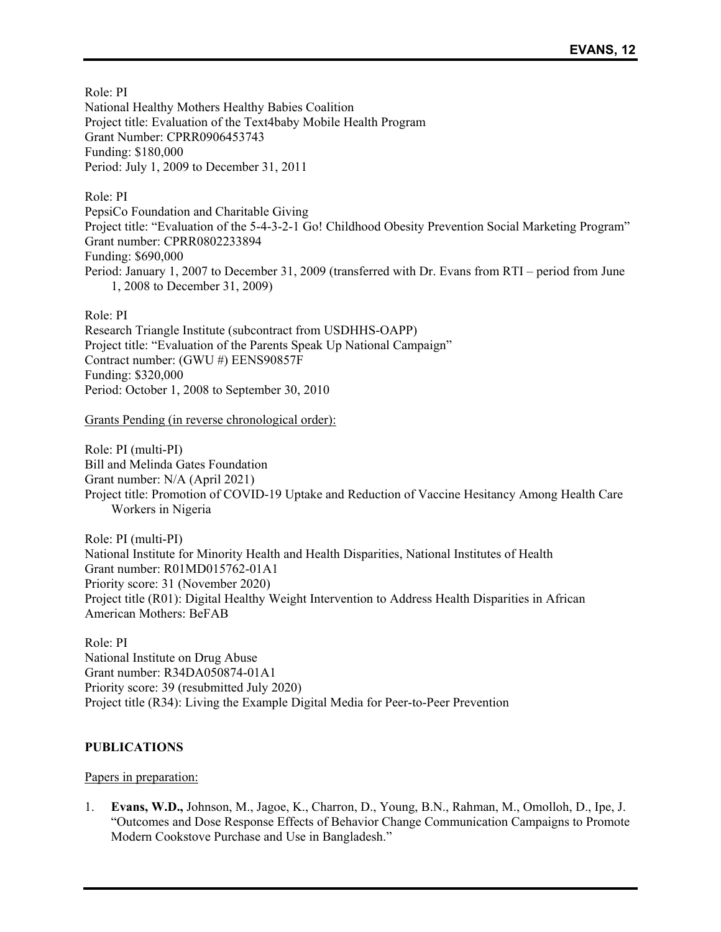Role: PI National Healthy Mothers Healthy Babies Coalition Project title: Evaluation of the Text4baby Mobile Health Program Grant Number: CPRR0906453743 Funding: \$180,000 Period: July 1, 2009 to December 31, 2011

Role: PI PepsiCo Foundation and Charitable Giving Project title: "Evaluation of the 5-4-3-2-1 Go! Childhood Obesity Prevention Social Marketing Program" Grant number: CPRR0802233894 Funding: \$690,000 Period: January 1, 2007 to December 31, 2009 (transferred with Dr. Evans from RTI – period from June 1, 2008 to December 31, 2009)

Role: PI

Research Triangle Institute (subcontract from USDHHS-OAPP) Project title: "Evaluation of the Parents Speak Up National Campaign" Contract number: (GWU #) EENS90857F Funding: \$320,000 Period: October 1, 2008 to September 30, 2010

Grants Pending (in reverse chronological order):

Role: PI (multi-PI) Bill and Melinda Gates Foundation Grant number: N/A (April 2021) Project title: Promotion of COVID-19 Uptake and Reduction of Vaccine Hesitancy Among Health Care Workers in Nigeria

Role: PI (multi-PI) National Institute for Minority Health and Health Disparities, National Institutes of Health Grant number: R01MD015762-01A1 Priority score: 31 (November 2020) Project title (R01): Digital Healthy Weight Intervention to Address Health Disparities in African American Mothers: BeFAB

Role: PI National Institute on Drug Abuse Grant number: R34DA050874-01A1 Priority score: 39 (resubmitted July 2020) Project title (R34): Living the Example Digital Media for Peer-to-Peer Prevention

# **PUBLICATIONS**

## Papers in preparation:

1. **Evans, W.D.,** Johnson, M., Jagoe, K., Charron, D., Young, B.N., Rahman, M., Omolloh, D., Ipe, J. "Outcomes and Dose Response Effects of Behavior Change Communication Campaigns to Promote Modern Cookstove Purchase and Use in Bangladesh."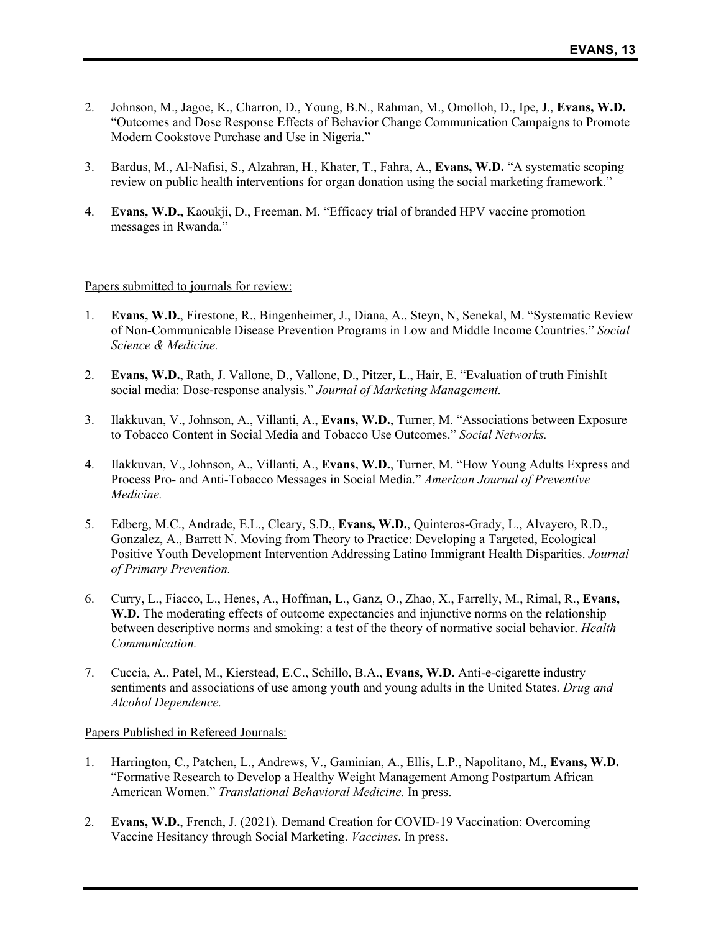- 2. Johnson, M., Jagoe, K., Charron, D., Young, B.N., Rahman, M., Omolloh, D., Ipe, J., **Evans, W.D.**  "Outcomes and Dose Response Effects of Behavior Change Communication Campaigns to Promote Modern Cookstove Purchase and Use in Nigeria."
- 3. Bardus, M., Al-Nafisi, S., Alzahran, H., Khater, T., Fahra, A., **Evans, W.D.** "A systematic scoping review on public health interventions for organ donation using the social marketing framework."
- 4. **Evans, W.D.,** Kaoukji, D., Freeman, M. "Efficacy trial of branded HPV vaccine promotion messages in Rwanda."

#### Papers submitted to journals for review:

- 1. **Evans, W.D.**, Firestone, R., Bingenheimer, J., Diana, A., Steyn, N, Senekal, M. "Systematic Review of Non-Communicable Disease Prevention Programs in Low and Middle Income Countries." *Social Science & Medicine.*
- 2. **Evans, W.D.**, Rath, J. Vallone, D., Vallone, D., Pitzer, L., Hair, E. "Evaluation of truth FinishIt social media: Dose-response analysis." *Journal of Marketing Management.*
- 3. Ilakkuvan, V., Johnson, A., Villanti, A., **Evans, W.D.**, Turner, M. "Associations between Exposure to Tobacco Content in Social Media and Tobacco Use Outcomes." *Social Networks.*
- 4. Ilakkuvan, V., Johnson, A., Villanti, A., **Evans, W.D.**, Turner, M. "How Young Adults Express and Process Pro- and Anti-Tobacco Messages in Social Media." *American Journal of Preventive Medicine.*
- 5. Edberg, M.C., Andrade, E.L., Cleary, S.D., **Evans, W.D.**, Quinteros-Grady, L., Alvayero, R.D., Gonzalez, A., Barrett N. Moving from Theory to Practice: Developing a Targeted, Ecological Positive Youth Development Intervention Addressing Latino Immigrant Health Disparities. *Journal of Primary Prevention.*
- 6. Curry, L., Fiacco, L., Henes, A., Hoffman, L., Ganz, O., Zhao, X., Farrelly, M., Rimal, R., **Evans,**  W.D. The moderating effects of outcome expectancies and injunctive norms on the relationship between descriptive norms and smoking: a test of the theory of normative social behavior. *Health Communication.*
- 7. Cuccia, A., Patel, M., Kierstead, E.C., Schillo, B.A., **Evans, W.D.** Anti-e-cigarette industry sentiments and associations of use among youth and young adults in the United States. *Drug and Alcohol Dependence.*

#### Papers Published in Refereed Journals:

- 1. Harrington, C., Patchen, L., Andrews, V., Gaminian, A., Ellis, L.P., Napolitano, M., **Evans, W.D.** "Formative Research to Develop a Healthy Weight Management Among Postpartum African American Women." *Translational Behavioral Medicine.* In press.
- 2. **Evans, W.D.**, French, J. (2021). Demand Creation for COVID-19 Vaccination: Overcoming Vaccine Hesitancy through Social Marketing. *Vaccines*. In press.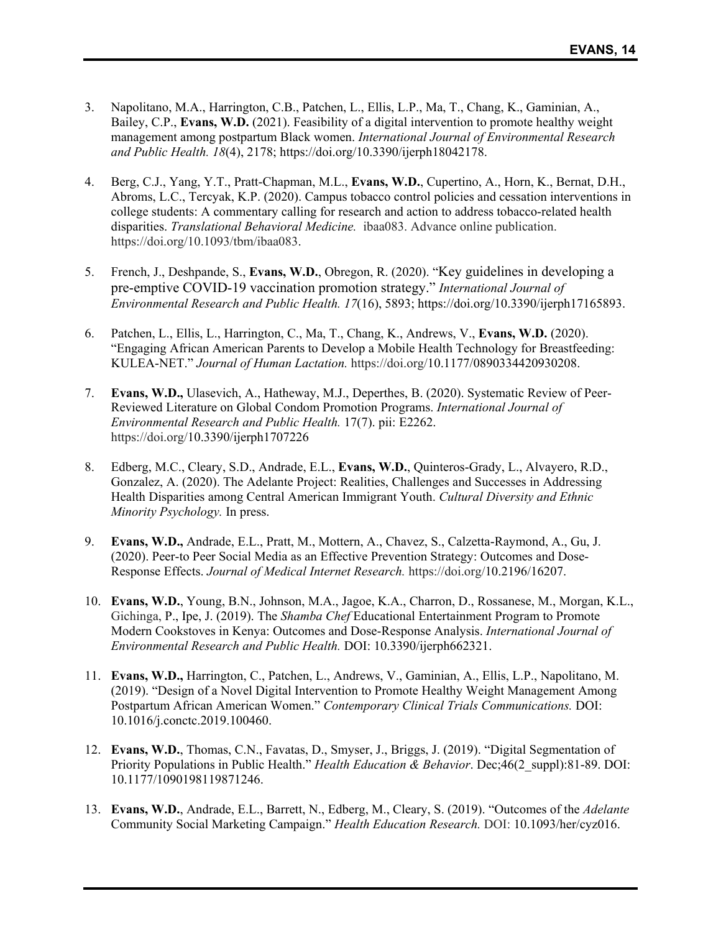- 3. Napolitano, M.A., Harrington, C.B., Patchen, L., Ellis, L.P., Ma, T., Chang, K., Gaminian, A., Bailey, C.P., **Evans, W.D.** (2021). Feasibility of a digital intervention to promote healthy weight management among postpartum Black women. *International Journal of Environmental Research and Public Health. 18*(4), 2178; https://doi.org/10.3390/ijerph18042178.
- 4. Berg, C.J., Yang, Y.T., Pratt-Chapman, M.L., **Evans, W.D.**, Cupertino, A., Horn, K., Bernat, D.H., Abroms, L.C., Tercyak, K.P. (2020). Campus tobacco control policies and cessation interventions in college students: A commentary calling for research and action to address tobacco-related health disparities. *Translational Behavioral Medicine.* ibaa083. Advance online publication. https://doi.org/10.1093/tbm/ibaa083.
- 5. French, J., Deshpande, S., **Evans, W.D.**, Obregon, R. (2020). "Key guidelines in developing a pre-emptive COVID-19 vaccination promotion strategy." *International Journal of Environmental Research and Public Health. 17*(16), 5893; https://doi.org/10.3390/ijerph17165893.
- 6. Patchen, L., Ellis, L., Harrington, C., Ma, T., Chang, K., Andrews, V., **Evans, W.D.** (2020). "Engaging African American Parents to Develop a Mobile Health Technology for Breastfeeding: KULEA-NET." *Journal of Human Lactation.* https://doi.org/10.1177/0890334420930208.
- 7. **Evans, W.D.,** Ulasevich, A., Hatheway, M.J., Deperthes, B. (2020). Systematic Review of Peer-Reviewed Literature on Global Condom Promotion Programs. *International Journal of Environmental Research and Public Health.* 17(7). pii: E2262. https://doi.org/10.3390/ijerph1707226
- 8. Edberg, M.C., Cleary, S.D., Andrade, E.L., **Evans, W.D.**, Quinteros-Grady, L., Alvayero, R.D., Gonzalez, A. (2020). The Adelante Project: Realities, Challenges and Successes in Addressing Health Disparities among Central American Immigrant Youth. *Cultural Diversity and Ethnic Minority Psychology.* In press.
- 9. **Evans, W.D.,** Andrade, E.L., Pratt, M., Mottern, A., Chavez, S., Calzetta-Raymond, A., Gu, J. (2020). Peer-to Peer Social Media as an Effective Prevention Strategy: Outcomes and Dose-Response Effects. *Journal of Medical Internet Research.* https://doi.org/10.2196/16207.
- 10. **Evans, W.D.**, Young, B.N., Johnson, M.A., Jagoe, K.A., Charron, D., Rossanese, M., Morgan, K.L., Gichinga, P., Ipe, J. (2019). The *Shamba Chef* Educational Entertainment Program to Promote Modern Cookstoves in Kenya: Outcomes and Dose-Response Analysis. *International Journal of Environmental Research and Public Health.* DOI: 10.3390/ijerph662321.
- 11. **Evans, W.D.,** Harrington, C., Patchen, L., Andrews, V., Gaminian, A., Ellis, L.P., Napolitano, M. (2019). "Design of a Novel Digital Intervention to Promote Healthy Weight Management Among Postpartum African American Women." *Contemporary Clinical Trials Communications.* DOI: 10.1016/j.conctc.2019.100460.
- 12. **Evans, W.D.**, Thomas, C.N., Favatas, D., Smyser, J., Briggs, J. (2019). "Digital Segmentation of Priority Populations in Public Health." *Health Education & Behavior*. Dec;46(2\_suppl):81-89. DOI: 10.1177/1090198119871246.
- 13. **Evans, W.D.**, Andrade, E.L., Barrett, N., Edberg, M., Cleary, S. (2019). "Outcomes of the *Adelante* Community Social Marketing Campaign." *Health Education Research.* DOI: 10.1093/her/cyz016.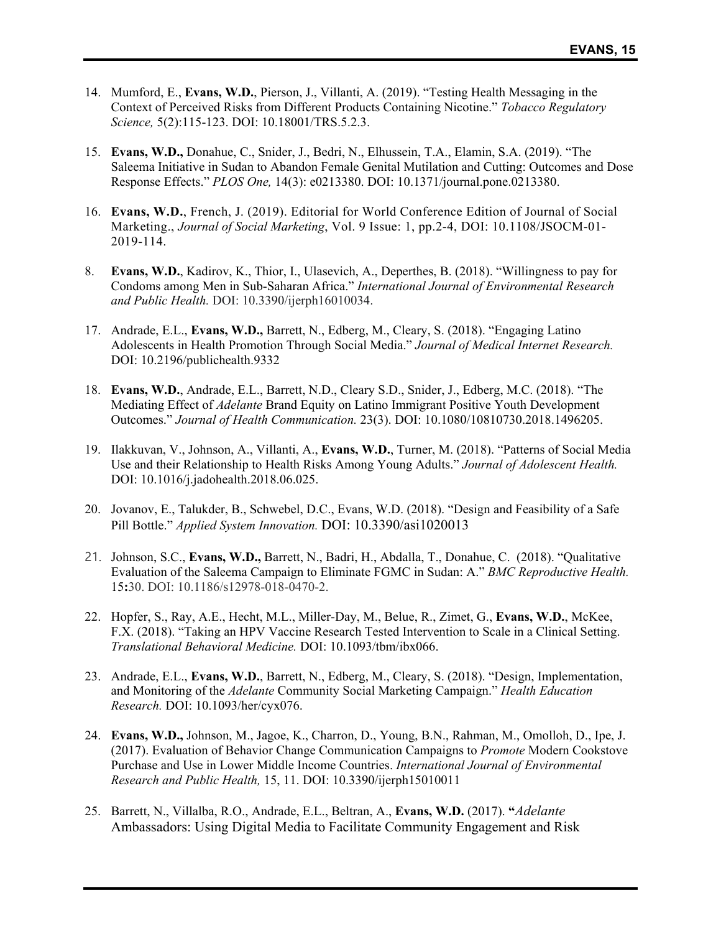- 14. Mumford, E., **Evans, W.D.**, Pierson, J., Villanti, A. (2019). "Testing Health Messaging in the Context of Perceived Risks from Different Products Containing Nicotine." *Tobacco Regulatory Science,* 5(2):115-123. DOI: 10.18001/TRS.5.2.3.
- 15. **Evans, W.D.,** Donahue, C., Snider, J., Bedri, N., Elhussein, T.A., Elamin, S.A. (2019). "The Saleema Initiative in Sudan to Abandon Female Genital Mutilation and Cutting: Outcomes and Dose Response Effects." *PLOS One,* 14(3): e0213380. DOI: 10.1371/journal.pone.0213380.
- 16. **Evans, W.D.**, French, J. (2019). Editorial for World Conference Edition of Journal of Social Marketing., *Journal of Social Marketing*, Vol. 9 Issue: 1, pp.2-4, DOI: 10.1108/JSOCM-01- 2019-114.
- 8. **Evans, W.D.**, Kadirov, K., Thior, I., Ulasevich, A., Deperthes, B. (2018). "Willingness to pay for Condoms among Men in Sub-Saharan Africa." *International Journal of Environmental Research and Public Health.* DOI: 10.3390/ijerph16010034.
- 17. Andrade, E.L., **Evans, W.D.,** Barrett, N., Edberg, M., Cleary, S. (2018). "Engaging Latino Adolescents in Health Promotion Through Social Media." *Journal of Medical Internet Research.*  DOI: 10.2196/publichealth.9332
- 18. **Evans, W.D.**, Andrade, E.L., Barrett, N.D., Cleary S.D., Snider, J., Edberg, M.C. (2018). "The Mediating Effect of *Adelante* Brand Equity on Latino Immigrant Positive Youth Development Outcomes." *Journal of Health Communication.* 23(3). DOI: 10.1080/10810730.2018.1496205.
- 19. Ilakkuvan, V., Johnson, A., Villanti, A., **Evans, W.D.**, Turner, M. (2018). "Patterns of Social Media Use and their Relationship to Health Risks Among Young Adults." *Journal of Adolescent Health.*  DOI: 10.1016/j.jadohealth.2018.06.025.
- 20. Jovanov, E., Talukder, B., Schwebel, D.C., Evans, W.D. (2018). "Design and Feasibility of a Safe Pill Bottle." *Applied System Innovation.* DOI: 10.3390/asi1020013
- 21. Johnson, S.C., **Evans, W.D.,** Barrett, N., Badri, H., Abdalla, T., Donahue, C. (2018). "Qualitative Evaluation of the Saleema Campaign to Eliminate FGMC in Sudan: A." *BMC Reproductive Health.*  15**:**30. DOI: 10.1186/s12978-018-0470-2.
- 22. Hopfer, S., Ray, A.E., Hecht, M.L., Miller-Day, M., Belue, R., Zimet, G., **Evans, W.D.**, McKee, F.X. (2018). "Taking an HPV Vaccine Research Tested Intervention to Scale in a Clinical Setting. *Translational Behavioral Medicine.* DOI: 10.1093/tbm/ibx066.
- 23. Andrade, E.L., **Evans, W.D.**, Barrett, N., Edberg, M., Cleary, S. (2018). "Design, Implementation, and Monitoring of the *Adelante* Community Social Marketing Campaign." *Health Education Research.* DOI: 10.1093/her/cyx076.
- 24. **Evans, W.D.,** Johnson, M., Jagoe, K., Charron, D., Young, B.N., Rahman, M., Omolloh, D., Ipe, J. (2017). Evaluation of Behavior Change Communication Campaigns to *Promote* Modern Cookstove Purchase and Use in Lower Middle Income Countries. *International Journal of Environmental Research and Public Health,* 15, 11. DOI: 10.3390/ijerph15010011
- 25. Barrett, N., Villalba, R.O., Andrade, E.L., Beltran, A., **Evans, W.D.** (2017). **"***Adelante* Ambassadors: Using Digital Media to Facilitate Community Engagement and Risk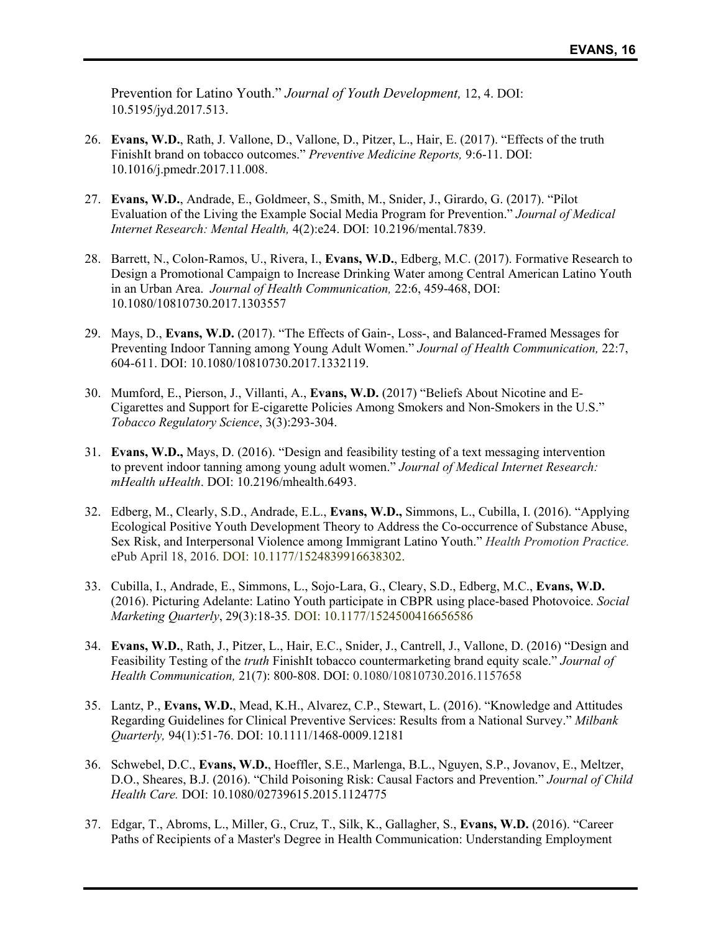Prevention for Latino Youth." *Journal of Youth Development,* 12, 4. DOI: 10.5195/jyd.2017.513.

- 26. **Evans, W.D.**, Rath, J. Vallone, D., Vallone, D., Pitzer, L., Hair, E. (2017). "Effects of the truth FinishIt brand on tobacco outcomes." *Preventive Medicine Reports,* 9:6-11. DOI: 10.1016/j.pmedr.2017.11.008.
- 27. **Evans, W.D.**, Andrade, E., Goldmeer, S., Smith, M., Snider, J., Girardo, G. (2017). "Pilot Evaluation of the Living the Example Social Media Program for Prevention." *Journal of Medical Internet Research: Mental Health,* 4(2):e24. DOI: 10.2196/mental.7839.
- 28. Barrett, N., Colon-Ramos, U., Rivera, I., **Evans, W.D.**, Edberg, M.C. (2017). Formative Research to Design a Promotional Campaign to Increase Drinking Water among Central American Latino Youth in an Urban Area. *Journal of Health Communication,* 22:6, 459-468, DOI: 10.1080/10810730.2017.1303557
- 29. Mays, D., **Evans, W.D.** (2017). "The Effects of Gain-, Loss-, and Balanced-Framed Messages for Preventing Indoor Tanning among Young Adult Women." *Journal of Health Communication,* 22:7, 604-611. DOI: 10.1080/10810730.2017.1332119.
- 30. Mumford, E., Pierson, J., Villanti, A., **Evans, W.D.** (2017) "Beliefs About Nicotine and E-Cigarettes and Support for E-cigarette Policies Among Smokers and Non-Smokers in the U.S." *Tobacco Regulatory Science*, 3(3):293-304.
- 31. **Evans, W.D.,** Mays, D. (2016). "Design and feasibility testing of a text messaging intervention to prevent indoor tanning among young adult women." *Journal of Medical Internet Research: mHealth uHealth*. DOI: 10.2196/mhealth.6493.
- 32. Edberg, M., Clearly, S.D., Andrade, E.L., **Evans, W.D.,** Simmons, L., Cubilla, I. (2016). "Applying Ecological Positive Youth Development Theory to Address the Co-occurrence of Substance Abuse, Sex Risk, and Interpersonal Violence among Immigrant Latino Youth." *Health Promotion Practice.*  ePub April 18, 2016. DOI: 10.1177/1524839916638302.
- 33. Cubilla, I., Andrade, E., Simmons, L., Sojo-Lara, G., Cleary, S.D., Edberg, M.C., **Evans, W.D.**  (2016). Picturing Adelante: Latino Youth participate in CBPR using place-based Photovoice. *Social Marketing Quarterly*, 29(3):18-35*.* DOI: 10.1177/1524500416656586
- 34. **Evans, W.D.**, Rath, J., Pitzer, L., Hair, E.C., Snider, J., Cantrell, J., Vallone, D. (2016) "Design and Feasibility Testing of the *truth* FinishIt tobacco countermarketing brand equity scale." *Journal of Health Communication,* 21(7): 800-808. DOI: 0.1080/10810730.2016.1157658
- 35. Lantz, P., **Evans, W.D.**, Mead, K.H., Alvarez, C.P., Stewart, L. (2016). "Knowledge and Attitudes Regarding Guidelines for Clinical Preventive Services: Results from a National Survey." *Milbank Quarterly,* 94(1):51-76. DOI: 10.1111/1468-0009.12181
- 36. Schwebel, D.C., **Evans, W.D.**, Hoeffler, S.E., Marlenga, B.L., Nguyen, S.P., Jovanov, E., Meltzer, D.O., Sheares, B.J. (2016). "Child Poisoning Risk: Causal Factors and Prevention." *Journal of Child Health Care.* DOI: 10.1080/02739615.2015.1124775
- 37. Edgar, T., Abroms, L., Miller, G., Cruz, T., Silk, K., Gallagher, S., **Evans, W.D.** (2016). "Career Paths of Recipients of a Master's Degree in Health Communication: Understanding Employment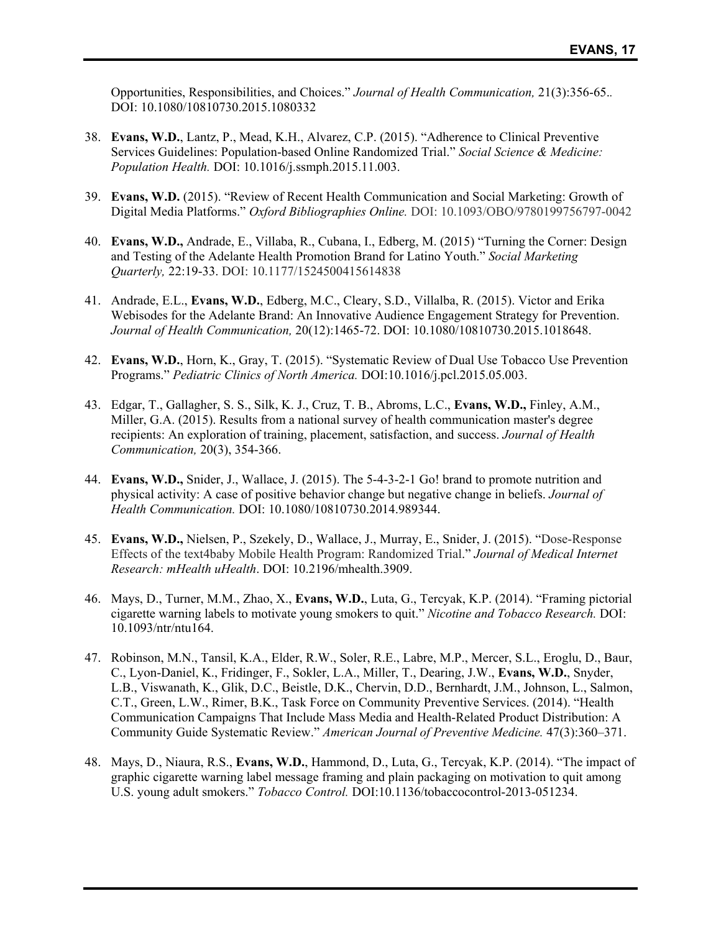Opportunities, Responsibilities, and Choices." *Journal of Health Communication,* 21(3):356-65.*.*  DOI: 10.1080/10810730.2015.1080332

- 38. **Evans, W.D.**, Lantz, P., Mead, K.H., Alvarez, C.P. (2015). "Adherence to Clinical Preventive Services Guidelines: Population-based Online Randomized Trial." *Social Science & Medicine: Population Health.* DOI: 10.1016/j.ssmph.2015.11.003.
- 39. **Evans, W.D.** (2015). "Review of Recent Health Communication and Social Marketing: Growth of Digital Media Platforms." *Oxford Bibliographies Online.* DOI: 10.1093/OBO/9780199756797-0042
- 40. **Evans, W.D.,** Andrade, E., Villaba, R., Cubana, I., Edberg, M. (2015) "Turning the Corner: Design and Testing of the Adelante Health Promotion Brand for Latino Youth." *Social Marketing Quarterly,* 22:19-33. DOI: 10.1177/1524500415614838
- 41. Andrade, E.L., **Evans, W.D.**, Edberg, M.C., Cleary, S.D., Villalba, R. (2015). Victor and Erika Webisodes for the Adelante Brand: An Innovative Audience Engagement Strategy for Prevention. *Journal of Health Communication,* 20(12):1465-72. DOI: 10.1080/10810730.2015.1018648.
- 42. **Evans, W.D.**, Horn, K., Gray, T. (2015). "Systematic Review of Dual Use Tobacco Use Prevention Programs." *Pediatric Clinics of North America.* DOI:10.1016/j.pcl.2015.05.003.
- 43. Edgar, T., Gallagher, S. S., Silk, K. J., Cruz, T. B., Abroms, L.C., **Evans, W.D.,** Finley, A.M., Miller, G.A. (2015). Results from a national survey of health communication master's degree recipients: An exploration of training, placement, satisfaction, and success. *Journal of Health Communication,* 20(3), 354-366.
- 44. **Evans, W.D.,** Snider, J., Wallace, J. (2015). The 5-4-3-2-1 Go! brand to promote nutrition and physical activity: A case of positive behavior change but negative change in beliefs. *Journal of Health Communication.* DOI: 10.1080/10810730.2014.989344.
- 45. **Evans, W.D.,** Nielsen, P., Szekely, D., Wallace, J., Murray, E., Snider, J. (2015). "Dose-Response Effects of the text4baby Mobile Health Program: Randomized Trial." *Journal of Medical Internet Research: mHealth uHealth*. DOI: 10.2196/mhealth.3909.
- 46. Mays, D., Turner, M.M., Zhao, X., **Evans, W.D.**, Luta, G., Tercyak, K.P. (2014). "Framing pictorial cigarette warning labels to motivate young smokers to quit." *Nicotine and Tobacco Research.* DOI: 10.1093/ntr/ntu164.
- 47. Robinson, M.N., Tansil, K.A., Elder, R.W., Soler, R.E., Labre, M.P., Mercer, S.L., Eroglu, D., Baur, C., Lyon-Daniel, K., Fridinger, F., Sokler, L.A., Miller, T., Dearing, J.W., **Evans, W.D.**, Snyder, L.B., Viswanath, K., Glik, D.C., Beistle, D.K., Chervin, D.D., Bernhardt, J.M., Johnson, L., Salmon, C.T., Green, L.W., Rimer, B.K., Task Force on Community Preventive Services. (2014). "Health Communication Campaigns That Include Mass Media and Health-Related Product Distribution: A Community Guide Systematic Review." *American Journal of Preventive Medicine.* 47(3):360–371.
- 48. Mays, D., Niaura, R.S., **Evans, W.D.**, Hammond, D., Luta, G., Tercyak, K.P. (2014). "The impact of graphic cigarette warning label message framing and plain packaging on motivation to quit among U.S. young adult smokers." *Tobacco Control.* DOI:10.1136/tobaccocontrol-2013-051234.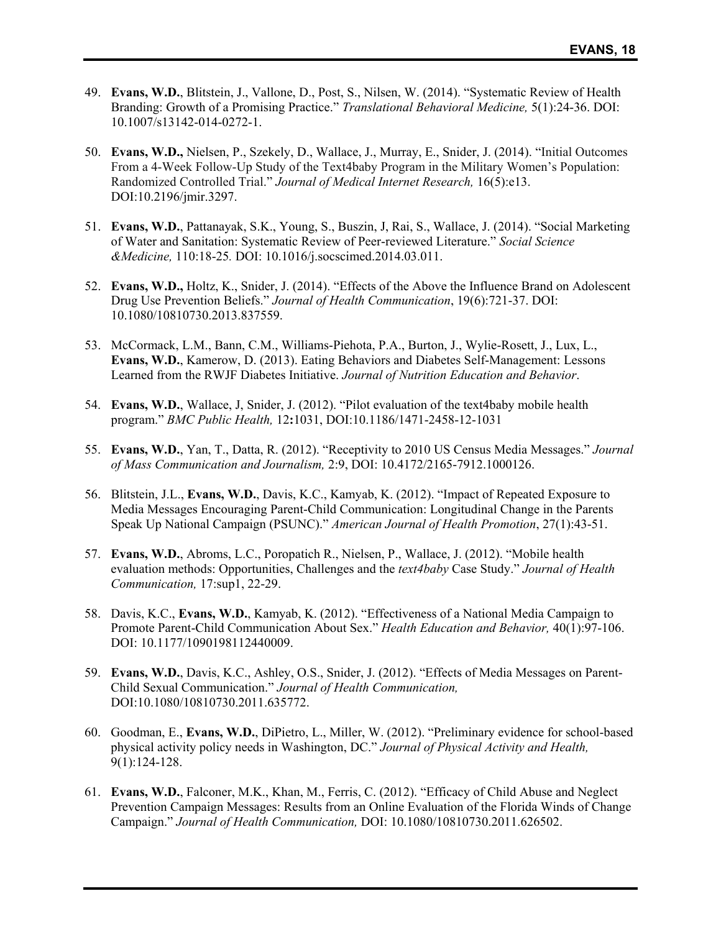- 49. **Evans, W.D.**, Blitstein, J., Vallone, D., Post, S., Nilsen, W. (2014). "Systematic Review of Health Branding: Growth of a Promising Practice." *Translational Behavioral Medicine,* 5(1):24-36. DOI: 10.1007/s13142-014-0272-1.
- 50. **Evans, W.D.,** Nielsen, P., Szekely, D., Wallace, J., Murray, E., Snider, J. (2014). "Initial Outcomes From a 4-Week Follow-Up Study of the Text4baby Program in the Military Women's Population: Randomized Controlled Trial." *Journal of Medical Internet Research,* 16(5):e13. DOI:10.2196/jmir.3297.
- 51. **Evans, W.D.**, Pattanayak, S.K., Young, S., Buszin, J, Rai, S., Wallace, J. (2014). "Social Marketing of Water and Sanitation: Systematic Review of Peer-reviewed Literature." *Social Science &Medicine,* 110:18-25*.* DOI: 10.1016/j.socscimed.2014.03.011.
- 52. **Evans, W.D.,** Holtz, K., Snider, J. (2014). "Effects of the Above the Influence Brand on Adolescent Drug Use Prevention Beliefs." *Journal of Health Communication*, 19(6):721-37. DOI: 10.1080/10810730.2013.837559.
- 53. McCormack, L.M., Bann, C.M., Williams-Piehota, P.A., Burton, J., Wylie-Rosett, J., Lux, L., **Evans, W.D.**, Kamerow, D. (2013). Eating Behaviors and Diabetes Self-Management: Lessons Learned from the RWJF Diabetes Initiative. *Journal of Nutrition Education and Behavior*.
- 54. **Evans, W.D.**, Wallace, J, Snider, J. (2012). "Pilot evaluation of the text4baby mobile health program." *BMC Public Health,* 12**:**1031, DOI:10.1186/1471-2458-12-1031
- 55. **Evans, W.D.**, Yan, T., Datta, R. (2012). "Receptivity to 2010 US Census Media Messages." *Journal of Mass Communication and Journalism,* 2:9, DOI: 10.4172/2165-7912.1000126.
- 56. Blitstein, J.L., **Evans, W.D.**, Davis, K.C., Kamyab, K. (2012). "Impact of Repeated Exposure to Media Messages Encouraging Parent-Child Communication: Longitudinal Change in the Parents Speak Up National Campaign (PSUNC)." *American Journal of Health Promotion*, 27(1):43-51.
- 57. **Evans, W.D.**, Abroms, L.C., Poropatich R., Nielsen, P., Wallace, J. (2012). "Mobile health evaluation methods: Opportunities, Challenges and the *text4baby* Case Study." *Journal of Health Communication,* 17:sup1, 22-29.
- 58. Davis, K.C., **Evans, W.D.**, Kamyab, K. (2012). "Effectiveness of a National Media Campaign to Promote Parent-Child Communication About Sex." *Health Education and Behavior,* 40(1):97-106. DOI: 10.1177/1090198112440009.
- 59. **Evans, W.D.**, Davis, K.C., Ashley, O.S., Snider, J. (2012). "Effects of Media Messages on Parent-Child Sexual Communication." *Journal of Health Communication,*  DOI:10.1080/10810730.2011.635772.
- 60. Goodman, E., **Evans, W.D.**, DiPietro, L., Miller, W. (2012). "Preliminary evidence for school-based physical activity policy needs in Washington, DC." *Journal of Physical Activity and Health,*  9(1):124-128.
- 61. **Evans, W.D.**, Falconer, M.K., Khan, M., Ferris, C. (2012). "Efficacy of Child Abuse and Neglect Prevention Campaign Messages: Results from an Online Evaluation of the Florida Winds of Change Campaign." *Journal of Health Communication,* DOI: 10.1080/10810730.2011.626502.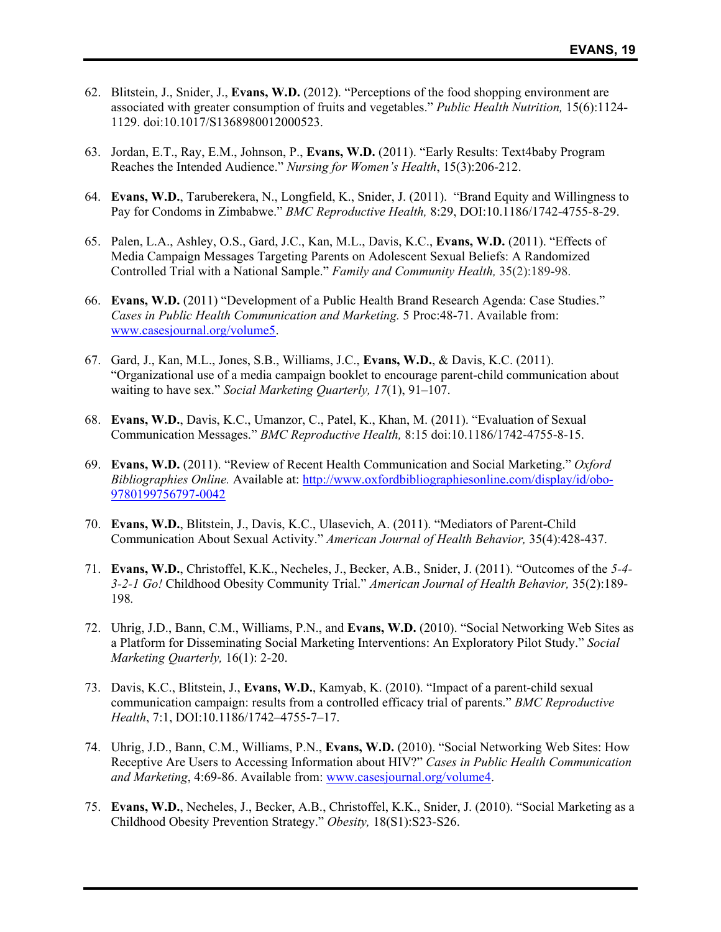- 62. Blitstein, J., Snider, J., **Evans, W.D.** (2012). "Perceptions of the food shopping environment are associated with greater consumption of fruits and vegetables." *Public Health Nutrition,* 15(6):1124- 1129. doi:10.1017/S1368980012000523.
- 63. Jordan, E.T., Ray, E.M., Johnson, P., **Evans, W.D.** (2011). "Early Results: Text4baby Program Reaches the Intended Audience." *Nursing for Women's Health*, 15(3):206-212.
- 64. **Evans, W.D.**, Taruberekera, N., Longfield, K., Snider, J. (2011). "Brand Equity and Willingness to Pay for Condoms in Zimbabwe." *BMC Reproductive Health,* 8:29, DOI:10.1186/1742-4755-8-29.
- 65. Palen, L.A., Ashley, O.S., Gard, J.C., Kan, M.L., Davis, K.C., **Evans, W.D.** (2011). "Effects of Media Campaign Messages Targeting Parents on Adolescent Sexual Beliefs: A Randomized Controlled Trial with a National Sample." *Family and Community Health,* 35(2):189-98.
- 66. **Evans, W.D.** (2011) "Development of a Public Health Brand Research Agenda: Case Studies." *Cases in Public Health Communication and Marketing.* 5 Proc:48-71. Available from: www.casesjournal.org/volume5.
- 67. Gard, J., Kan, M.L., Jones, S.B., Williams, J.C., **Evans, W.D.**, & Davis, K.C. (2011). "Organizational use of a media campaign booklet to encourage parent-child communication about waiting to have sex." *Social Marketing Quarterly, 17*(1), 91–107.
- 68. **Evans, W.D.**, Davis, K.C., Umanzor, C., Patel, K., Khan, M. (2011). "Evaluation of Sexual Communication Messages." *BMC Reproductive Health,* 8:15 doi:10.1186/1742-4755-8-15.
- 69. **Evans, W.D.** (2011). "Review of Recent Health Communication and Social Marketing." *Oxford Bibliographies Online.* Available at: http://www.oxfordbibliographiesonline.com/display/id/obo-9780199756797-0042
- 70. **Evans, W.D.**, Blitstein, J., Davis, K.C., Ulasevich, A. (2011). "Mediators of Parent-Child Communication About Sexual Activity." *American Journal of Health Behavior,* 35(4):428-437.
- 71. **Evans, W.D.**, Christoffel, K.K., Necheles, J., Becker, A.B., Snider, J. (2011). "Outcomes of the *5-4- 3-2-1 Go!* Childhood Obesity Community Trial." *American Journal of Health Behavior,* 35(2):189- 198*.*
- 72. Uhrig, J.D., Bann, C.M., Williams, P.N., and **Evans, W.D.** (2010). "Social Networking Web Sites as a Platform for Disseminating Social Marketing Interventions: An Exploratory Pilot Study." *Social Marketing Quarterly,* 16(1): 2-20.
- 73. Davis, K.C., Blitstein, J., **Evans, W.D.**, Kamyab, K. (2010). "Impact of a parent-child sexual communication campaign: results from a controlled efficacy trial of parents." *BMC Reproductive Health*, 7:1, DOI:10.1186/1742–4755-7–17.
- 74. Uhrig, J.D., Bann, C.M., Williams, P.N., **Evans, W.D.** (2010). "Social Networking Web Sites: How Receptive Are Users to Accessing Information about HIV?" *Cases in Public Health Communication and Marketing*, 4:69-86. Available from: www.casesjournal.org/volume4.
- 75. **Evans, W.D.**, Necheles, J., Becker, A.B., Christoffel, K.K., Snider, J. (2010). "Social Marketing as a Childhood Obesity Prevention Strategy." *Obesity,* 18(S1):S23-S26.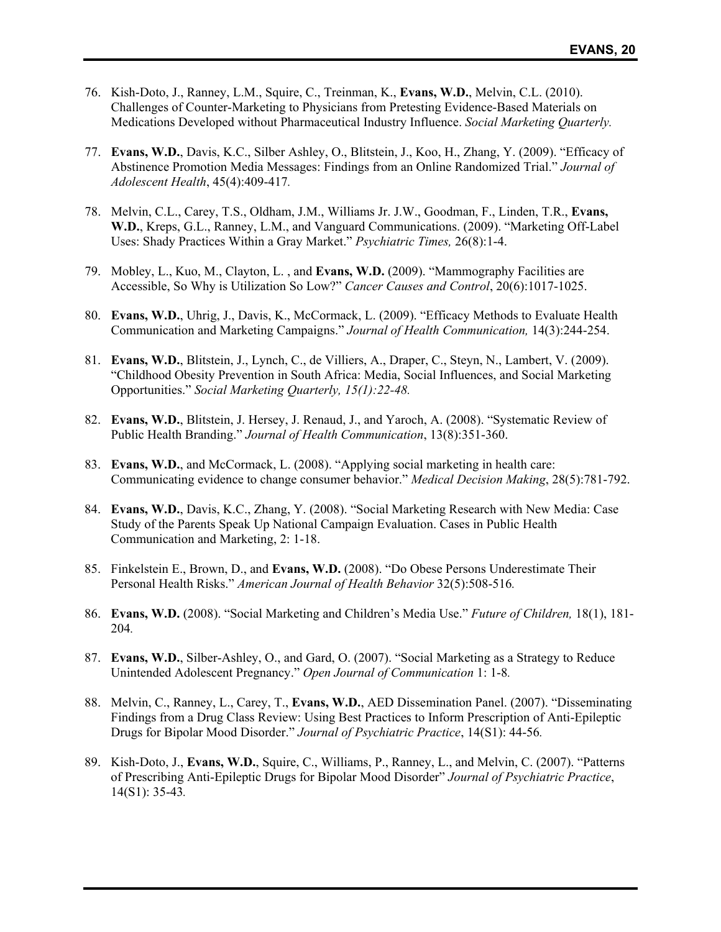- 76. Kish-Doto, J., Ranney, L.M., Squire, C., Treinman, K., **Evans, W.D.**, Melvin, C.L. (2010). Challenges of Counter-Marketing to Physicians from Pretesting Evidence-Based Materials on Medications Developed without Pharmaceutical Industry Influence. *Social Marketing Quarterly.*
- 77. **Evans, W.D.**, Davis, K.C., Silber Ashley, O., Blitstein, J., Koo, H., Zhang, Y. (2009). "Efficacy of Abstinence Promotion Media Messages: Findings from an Online Randomized Trial." *Journal of Adolescent Health*, 45(4):409-417*.*
- 78. Melvin, C.L., Carey, T.S., Oldham, J.M., Williams Jr. J.W., Goodman, F., Linden, T.R., **Evans, W.D.**, Kreps, G.L., Ranney, L.M., and Vanguard Communications. (2009). "Marketing Off-Label Uses: Shady Practices Within a Gray Market." *Psychiatric Times,* 26(8):1-4.
- 79. Mobley, L., Kuo, M., Clayton, L. , and **Evans, W.D.** (2009). "Mammography Facilities are Accessible, So Why is Utilization So Low?" *Cancer Causes and Control*, 20(6):1017-1025.
- 80. **Evans, W.D.**, Uhrig, J., Davis, K., McCormack, L. (2009). "Efficacy Methods to Evaluate Health Communication and Marketing Campaigns." *Journal of Health Communication,* 14(3):244-254.
- 81. **Evans, W.D.**, Blitstein, J., Lynch, C., de Villiers, A., Draper, C., Steyn, N., Lambert, V. (2009). "Childhood Obesity Prevention in South Africa: Media, Social Influences, and Social Marketing Opportunities." *Social Marketing Quarterly, 15(1):22-48.*
- 82. **Evans, W.D.**, Blitstein, J. Hersey, J. Renaud, J., and Yaroch, A. (2008). "Systematic Review of Public Health Branding." *Journal of Health Communication*, 13(8):351-360.
- 83. **Evans, W.D.**, and McCormack, L. (2008). "Applying social marketing in health care: Communicating evidence to change consumer behavior." *Medical Decision Making*, 28(5):781-792.
- 84. **Evans, W.D.**, Davis, K.C., Zhang, Y. (2008). "Social Marketing Research with New Media: Case Study of the Parents Speak Up National Campaign Evaluation. Cases in Public Health Communication and Marketing, 2: 1-18.
- 85. Finkelstein E., Brown, D., and **Evans, W.D.** (2008). "Do Obese Persons Underestimate Their Personal Health Risks." *American Journal of Health Behavior* 32(5):508-516*.*
- 86. **Evans, W.D.** (2008). "Social Marketing and Children's Media Use." *Future of Children,* 18(1), 181- 204*.*
- 87. **Evans, W.D.**, Silber-Ashley, O., and Gard, O. (2007). "Social Marketing as a Strategy to Reduce Unintended Adolescent Pregnancy." *Open Journal of Communication* 1: 1-8*.*
- 88. Melvin, C., Ranney, L., Carey, T., **Evans, W.D.**, AED Dissemination Panel. (2007). "Disseminating Findings from a Drug Class Review: Using Best Practices to Inform Prescription of Anti-Epileptic Drugs for Bipolar Mood Disorder." *Journal of Psychiatric Practice*, 14(S1): 44-56*.*
- 89. Kish-Doto, J., **Evans, W.D.**, Squire, C., Williams, P., Ranney, L., and Melvin, C. (2007). "Patterns of Prescribing Anti-Epileptic Drugs for Bipolar Mood Disorder" *Journal of Psychiatric Practice*, 14(S1): 35-43*.*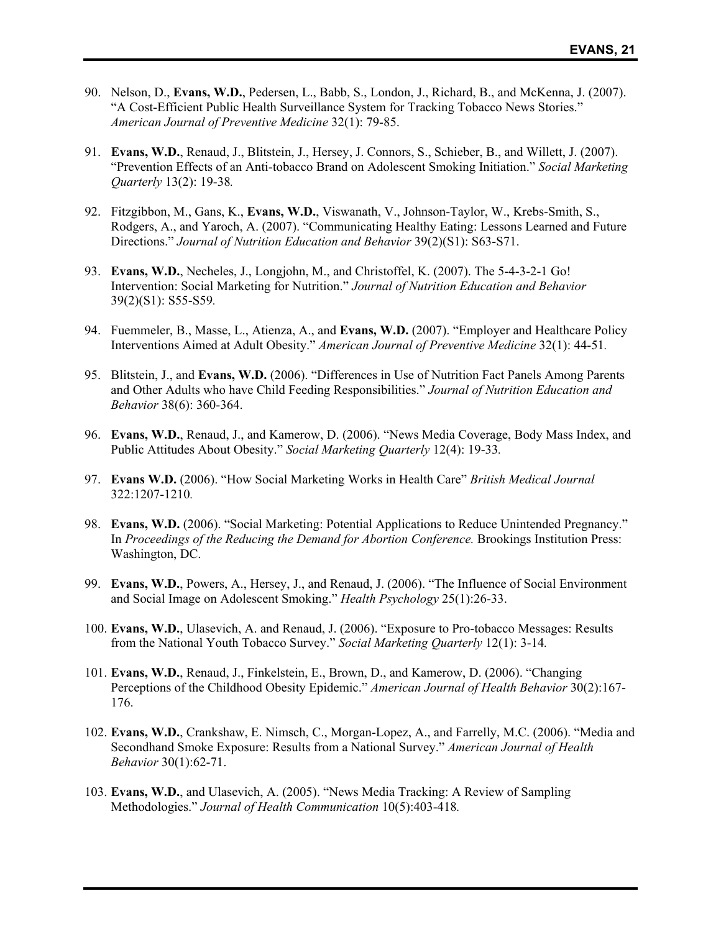- 90. Nelson, D., **Evans, W.D.**, Pedersen, L., Babb, S., London, J., Richard, B., and McKenna, J. (2007). "A Cost-Efficient Public Health Surveillance System for Tracking Tobacco News Stories." *American Journal of Preventive Medicine* 32(1): 79-85.
- 91. **Evans, W.D.**, Renaud, J., Blitstein, J., Hersey, J. Connors, S., Schieber, B., and Willett, J. (2007). "Prevention Effects of an Anti-tobacco Brand on Adolescent Smoking Initiation." *Social Marketing Quarterly* 13(2): 19-38*.*
- 92. Fitzgibbon, M., Gans, K., **Evans, W.D.**, Viswanath, V., Johnson-Taylor, W., Krebs-Smith, S., Rodgers, A., and Yaroch, A. (2007). "Communicating Healthy Eating: Lessons Learned and Future Directions." *Journal of Nutrition Education and Behavior* 39(2)(S1): S63-S71.
- 93. **Evans, W.D.**, Necheles, J., Longjohn, M., and Christoffel, K. (2007). The 5-4-3-2-1 Go! Intervention: Social Marketing for Nutrition." *Journal of Nutrition Education and Behavior* 39(2)(S1): S55-S59*.*
- 94. Fuemmeler, B., Masse, L., Atienza, A., and **Evans, W.D.** (2007). "Employer and Healthcare Policy Interventions Aimed at Adult Obesity." *American Journal of Preventive Medicine* 32(1): 44-51*.*
- 95. Blitstein, J., and **Evans, W.D.** (2006). "Differences in Use of Nutrition Fact Panels Among Parents and Other Adults who have Child Feeding Responsibilities." *Journal of Nutrition Education and Behavior* 38(6): 360-364.
- 96. **Evans, W.D.**, Renaud, J., and Kamerow, D. (2006). "News Media Coverage, Body Mass Index, and Public Attitudes About Obesity." *Social Marketing Quarterly* 12(4): 19-33*.*
- 97. **Evans W.D.** (2006). "How Social Marketing Works in Health Care" *British Medical Journal* 322:1207-1210*.*
- 98. **Evans, W.D.** (2006). "Social Marketing: Potential Applications to Reduce Unintended Pregnancy." In *Proceedings of the Reducing the Demand for Abortion Conference.* Brookings Institution Press: Washington, DC.
- 99. **Evans, W.D.**, Powers, A., Hersey, J., and Renaud, J. (2006). "The Influence of Social Environment and Social Image on Adolescent Smoking." *Health Psychology* 25(1):26-33.
- 100. **Evans, W.D.**, Ulasevich, A. and Renaud, J. (2006). "Exposure to Pro-tobacco Messages: Results from the National Youth Tobacco Survey." *Social Marketing Quarterly* 12(1): 3-14*.*
- 101. **Evans, W.D.**, Renaud, J., Finkelstein, E., Brown, D., and Kamerow, D. (2006). "Changing Perceptions of the Childhood Obesity Epidemic." *American Journal of Health Behavior* 30(2):167- 176.
- 102. **Evans, W.D.**, Crankshaw, E. Nimsch, C., Morgan-Lopez, A., and Farrelly, M.C. (2006). "Media and Secondhand Smoke Exposure: Results from a National Survey." *American Journal of Health Behavior* 30(1):62-71.
- 103. **Evans, W.D.**, and Ulasevich, A. (2005). "News Media Tracking: A Review of Sampling Methodologies." *Journal of Health Communication* 10(5):403-418*.*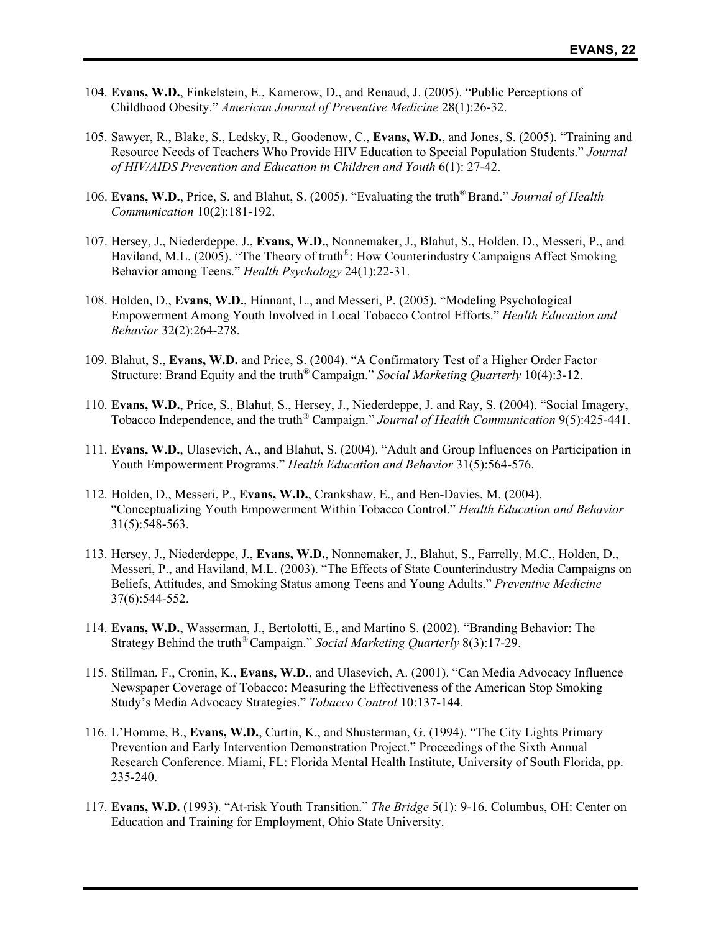- 104. **Evans, W.D.**, Finkelstein, E., Kamerow, D., and Renaud, J. (2005). "Public Perceptions of Childhood Obesity." *American Journal of Preventive Medicine* 28(1):26-32.
- 105. Sawyer, R., Blake, S., Ledsky, R., Goodenow, C., **Evans, W.D.**, and Jones, S. (2005). "Training and Resource Needs of Teachers Who Provide HIV Education to Special Population Students." *Journal of HIV/AIDS Prevention and Education in Children and Youth* 6(1): 27-42.
- 106. **Evans, W.D.**, Price, S. and Blahut, S. (2005). "Evaluating the truth® Brand." *Journal of Health Communication* 10(2):181-192.
- 107. Hersey, J., Niederdeppe, J., **Evans, W.D.**, Nonnemaker, J., Blahut, S., Holden, D., Messeri, P., and Haviland, M.L. (2005). "The Theory of truth<sup>®</sup>: How Counterindustry Campaigns Affect Smoking Behavior among Teens." *Health Psychology* 24(1):22-31.
- 108. Holden, D., **Evans, W.D.**, Hinnant, L., and Messeri, P. (2005). "Modeling Psychological Empowerment Among Youth Involved in Local Tobacco Control Efforts." *Health Education and Behavior* 32(2):264-278.
- 109. Blahut, S., **Evans, W.D.** and Price, S. (2004). "A Confirmatory Test of a Higher Order Factor Structure: Brand Equity and the truth® Campaign." *Social Marketing Quarterly* 10(4):3-12.
- 110. **Evans, W.D.**, Price, S., Blahut, S., Hersey, J., Niederdeppe, J. and Ray, S. (2004). "Social Imagery, Tobacco Independence, and the truth® Campaign." *Journal of Health Communication* 9(5):425-441.
- 111. **Evans, W.D.**, Ulasevich, A., and Blahut, S. (2004). "Adult and Group Influences on Participation in Youth Empowerment Programs." *Health Education and Behavior* 31(5):564-576.
- 112. Holden, D., Messeri, P., **Evans, W.D.**, Crankshaw, E., and Ben-Davies, M. (2004). "Conceptualizing Youth Empowerment Within Tobacco Control." *Health Education and Behavior* 31(5):548-563.
- 113. Hersey, J., Niederdeppe, J., **Evans, W.D.**, Nonnemaker, J., Blahut, S., Farrelly, M.C., Holden, D., Messeri, P., and Haviland, M.L. (2003). "The Effects of State Counterindustry Media Campaigns on Beliefs, Attitudes, and Smoking Status among Teens and Young Adults." *Preventive Medicine* 37(6):544-552.
- 114. **Evans, W.D.**, Wasserman, J., Bertolotti, E., and Martino S. (2002). "Branding Behavior: The Strategy Behind the truth® Campaign." *Social Marketing Quarterly* 8(3):17-29.
- 115. Stillman, F., Cronin, K., **Evans, W.D.**, and Ulasevich, A. (2001). "Can Media Advocacy Influence Newspaper Coverage of Tobacco: Measuring the Effectiveness of the American Stop Smoking Study's Media Advocacy Strategies." *Tobacco Control* 10:137-144.
- 116. L'Homme, B., **Evans, W.D.**, Curtin, K., and Shusterman, G. (1994). "The City Lights Primary Prevention and Early Intervention Demonstration Project." Proceedings of the Sixth Annual Research Conference. Miami, FL: Florida Mental Health Institute, University of South Florida, pp. 235-240.
- 117. **Evans, W.D.** (1993). "At-risk Youth Transition." *The Bridge* 5(1): 9-16. Columbus, OH: Center on Education and Training for Employment, Ohio State University.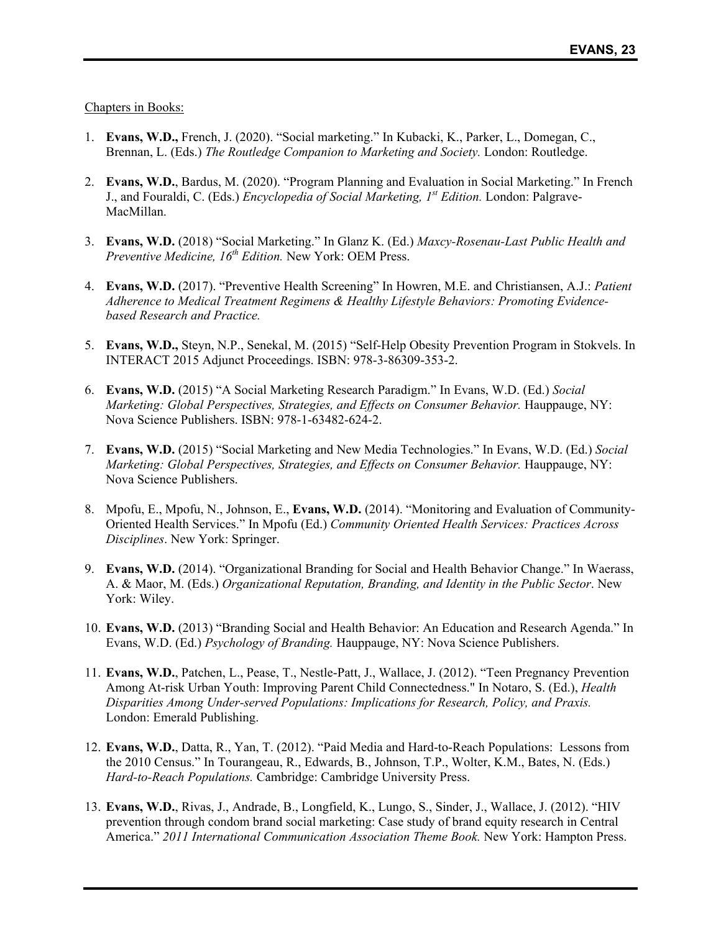Chapters in Books:

- 1. **Evans, W.D.,** French, J. (2020). "Social marketing." In Kubacki, K., Parker, L., Domegan, C., Brennan, L. (Eds.) *The Routledge Companion to Marketing and Society.* London: Routledge.
- 2. **Evans, W.D.**, Bardus, M. (2020). "Program Planning and Evaluation in Social Marketing." In French J., and Fouraldi, C. (Eds.) *Encyclopedia of Social Marketing, 1st Edition.* London: Palgrave-MacMillan.
- 3. **Evans, W.D.** (2018) "Social Marketing." In Glanz K. (Ed.) *Maxcy-Rosenau-Last Public Health and Preventive Medicine, 16th Edition.* New York: OEM Press.
- 4. **Evans, W.D.** (2017). "Preventive Health Screening" In Howren, M.E. and Christiansen, A.J.: *Patient Adherence to Medical Treatment Regimens & Healthy Lifestyle Behaviors: Promoting Evidencebased Research and Practice.*
- 5. **Evans, W.D.,** Steyn, N.P., Senekal, M. (2015) "Self-Help Obesity Prevention Program in Stokvels. In INTERACT 2015 Adjunct Proceedings. ISBN: 978-3-86309-353-2.
- 6. **Evans, W.D.** (2015) "A Social Marketing Research Paradigm." In Evans, W.D. (Ed.) *Social Marketing: Global Perspectives, Strategies, and Effects on Consumer Behavior.* Hauppauge, NY: Nova Science Publishers. ISBN: 978-1-63482-624-2.
- 7. **Evans, W.D.** (2015) "Social Marketing and New Media Technologies." In Evans, W.D. (Ed.) *Social Marketing: Global Perspectives, Strategies, and Effects on Consumer Behavior. Hauppauge, NY:* Nova Science Publishers.
- 8. Mpofu, E., Mpofu, N., Johnson, E., **Evans, W.D.** (2014). "Monitoring and Evaluation of Community-Oriented Health Services." In Mpofu (Ed.) *Community Oriented Health Services: Practices Across Disciplines*. New York: Springer.
- 9. **Evans, W.D.** (2014). "Organizational Branding for Social and Health Behavior Change." In Waerass, A. & Maor, M. (Eds.) *Organizational Reputation, Branding, and Identity in the Public Sector*. New York: Wiley.
- 10. **Evans, W.D.** (2013) "Branding Social and Health Behavior: An Education and Research Agenda." In Evans, W.D. (Ed.) *Psychology of Branding.* Hauppauge, NY: Nova Science Publishers.
- 11. **Evans, W.D.**, Patchen, L., Pease, T., Nestle-Patt, J., Wallace, J. (2012). "Teen Pregnancy Prevention Among At-risk Urban Youth: Improving Parent Child Connectedness." In Notaro, S. (Ed.), *Health Disparities Among Under-served Populations: Implications for Research, Policy, and Praxis.* London: Emerald Publishing.
- 12. **Evans, W.D.**, Datta, R., Yan, T. (2012). "Paid Media and Hard-to-Reach Populations: Lessons from the 2010 Census." In Tourangeau, R., Edwards, B., Johnson, T.P., Wolter, K.M., Bates, N. (Eds.) *Hard-to-Reach Populations.* Cambridge: Cambridge University Press.
- 13. **Evans, W.D.**, Rivas, J., Andrade, B., Longfield, K., Lungo, S., Sinder, J., Wallace, J. (2012). "HIV prevention through condom brand social marketing: Case study of brand equity research in Central America." *2011 International Communication Association Theme Book.* New York: Hampton Press.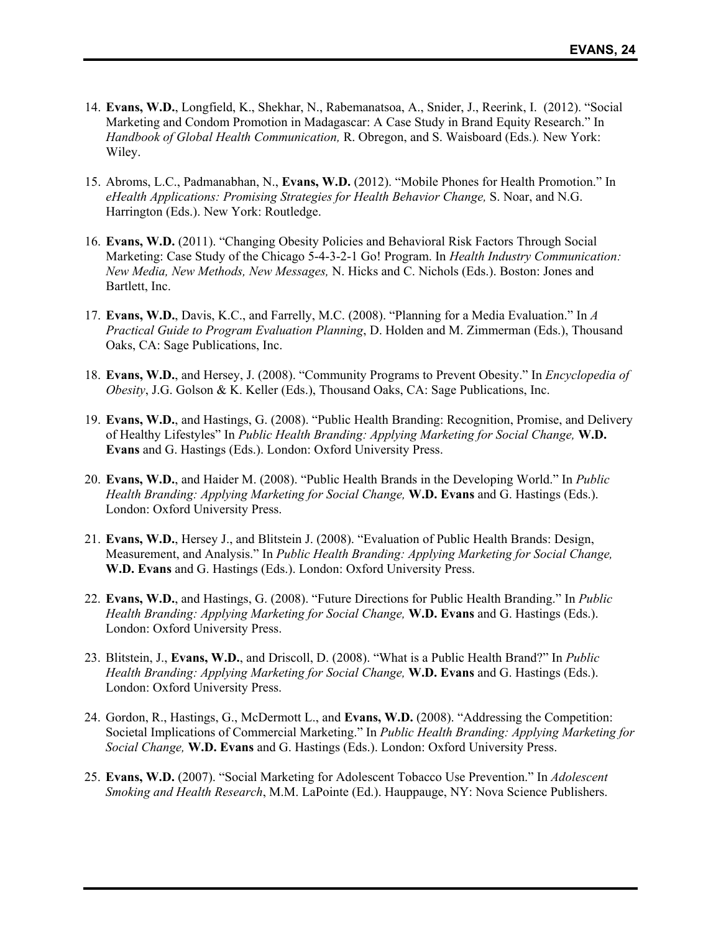- 14. **Evans, W.D.**, Longfield, K., Shekhar, N., Rabemanatsoa, A., Snider, J., Reerink, I. (2012). "Social Marketing and Condom Promotion in Madagascar: A Case Study in Brand Equity Research." In *Handbook of Global Health Communication,* R. Obregon, and S. Waisboard (Eds.)*.* New York: Wiley.
- 15. Abroms, L.C., Padmanabhan, N., **Evans, W.D.** (2012). "Mobile Phones for Health Promotion." In *eHealth Applications: Promising Strategies for Health Behavior Change,* S. Noar, and N.G. Harrington (Eds.). New York: Routledge.
- 16. **Evans, W.D.** (2011). "Changing Obesity Policies and Behavioral Risk Factors Through Social Marketing: Case Study of the Chicago 5-4-3-2-1 Go! Program. In *Health Industry Communication: New Media, New Methods, New Messages,* N. Hicks and C. Nichols (Eds.). Boston: Jones and Bartlett, Inc.
- 17. **Evans, W.D.**, Davis, K.C., and Farrelly, M.C. (2008). "Planning for a Media Evaluation." In *A Practical Guide to Program Evaluation Planning*, D. Holden and M. Zimmerman (Eds.), Thousand Oaks, CA: Sage Publications, Inc.
- 18. **Evans, W.D.**, and Hersey, J. (2008). "Community Programs to Prevent Obesity." In *Encyclopedia of Obesity*, J.G. Golson & K. Keller (Eds.), Thousand Oaks, CA: Sage Publications, Inc.
- 19. **Evans, W.D.**, and Hastings, G. (2008). "Public Health Branding: Recognition, Promise, and Delivery of Healthy Lifestyles" In *Public Health Branding: Applying Marketing for Social Change,* **W.D. Evans** and G. Hastings (Eds.). London: Oxford University Press.
- 20. **Evans, W.D.**, and Haider M. (2008). "Public Health Brands in the Developing World." In *Public Health Branding: Applying Marketing for Social Change,* **W.D. Evans** and G. Hastings (Eds.). London: Oxford University Press.
- 21. **Evans, W.D.**, Hersey J., and Blitstein J. (2008). "Evaluation of Public Health Brands: Design, Measurement, and Analysis." In *Public Health Branding: Applying Marketing for Social Change,*  **W.D. Evans** and G. Hastings (Eds.). London: Oxford University Press.
- 22. **Evans, W.D.**, and Hastings, G. (2008). "Future Directions for Public Health Branding." In *Public Health Branding: Applying Marketing for Social Change,* **W.D. Evans** and G. Hastings (Eds.). London: Oxford University Press.
- 23. Blitstein, J., **Evans, W.D.**, and Driscoll, D. (2008). "What is a Public Health Brand?" In *Public Health Branding: Applying Marketing for Social Change,* **W.D. Evans** and G. Hastings (Eds.). London: Oxford University Press.
- 24. Gordon, R., Hastings, G., McDermott L., and **Evans, W.D.** (2008). "Addressing the Competition: Societal Implications of Commercial Marketing." In *Public Health Branding: Applying Marketing for Social Change,* **W.D. Evans** and G. Hastings (Eds.). London: Oxford University Press.
- 25. **Evans, W.D.** (2007). "Social Marketing for Adolescent Tobacco Use Prevention." In *Adolescent Smoking and Health Research*, M.M. LaPointe (Ed.). Hauppauge, NY: Nova Science Publishers.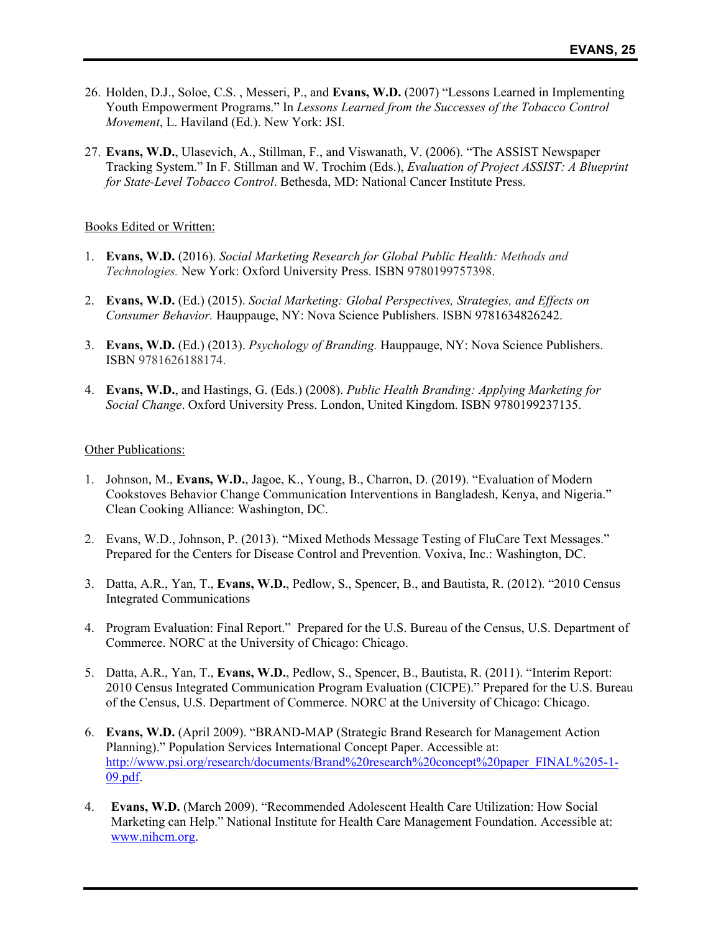- 26. Holden, D.J., Soloe, C.S. , Messeri, P., and **Evans, W.D.** (2007) "Lessons Learned in Implementing Youth Empowerment Programs." In *Lessons Learned from the Successes of the Tobacco Control Movement*, L. Haviland (Ed.). New York: JSI.
- 27. **Evans, W.D.**, Ulasevich, A., Stillman, F., and Viswanath, V. (2006). "The ASSIST Newspaper Tracking System." In F. Stillman and W. Trochim (Eds.), *Evaluation of Project ASSIST: A Blueprint for State-Level Tobacco Control*. Bethesda, MD: National Cancer Institute Press.

#### Books Edited or Written:

- 1. **Evans, W.D.** (2016). *Social Marketing Research for Global Public Health: Methods and Technologies.* New York: Oxford University Press. ISBN 9780199757398.
- 2. **Evans, W.D.** (Ed.) (2015). *Social Marketing: Global Perspectives, Strategies, and Effects on Consumer Behavior.* Hauppauge, NY: Nova Science Publishers. ISBN 9781634826242.
- 3. **Evans, W.D.** (Ed.) (2013). *Psychology of Branding.* Hauppauge, NY: Nova Science Publishers. ISBN 9781626188174.
- 4. **Evans, W.D.**, and Hastings, G. (Eds.) (2008). *Public Health Branding: Applying Marketing for Social Change*. Oxford University Press. London, United Kingdom. ISBN 9780199237135.

### Other Publications:

- 1. Johnson, M., **Evans, W.D.**, Jagoe, K., Young, B., Charron, D. (2019). "Evaluation of Modern Cookstoves Behavior Change Communication Interventions in Bangladesh, Kenya, and Nigeria." Clean Cooking Alliance: Washington, DC.
- 2. Evans, W.D., Johnson, P. (2013). "Mixed Methods Message Testing of FluCare Text Messages." Prepared for the Centers for Disease Control and Prevention. Voxiva, Inc.: Washington, DC.
- 3. Datta, A.R., Yan, T., **Evans, W.D.**, Pedlow, S., Spencer, B., and Bautista, R. (2012). "2010 Census Integrated Communications
- 4. Program Evaluation: Final Report." Prepared for the U.S. Bureau of the Census, U.S. Department of Commerce. NORC at the University of Chicago: Chicago.
- 5. Datta, A.R., Yan, T., **Evans, W.D.**, Pedlow, S., Spencer, B., Bautista, R. (2011). "Interim Report: 2010 Census Integrated Communication Program Evaluation (CICPE)." Prepared for the U.S. Bureau of the Census, U.S. Department of Commerce. NORC at the University of Chicago: Chicago.
- 6. **Evans, W.D.** (April 2009). "BRAND-MAP (Strategic Brand Research for Management Action Planning)." Population Services International Concept Paper. Accessible at: http://www.psi.org/research/documents/Brand%20research%20concept%20paper\_FINAL%205-1-09.pdf.
- 4. **Evans, W.D.** (March 2009). "Recommended Adolescent Health Care Utilization: How Social Marketing can Help." National Institute for Health Care Management Foundation. Accessible at: www.nihcm.org.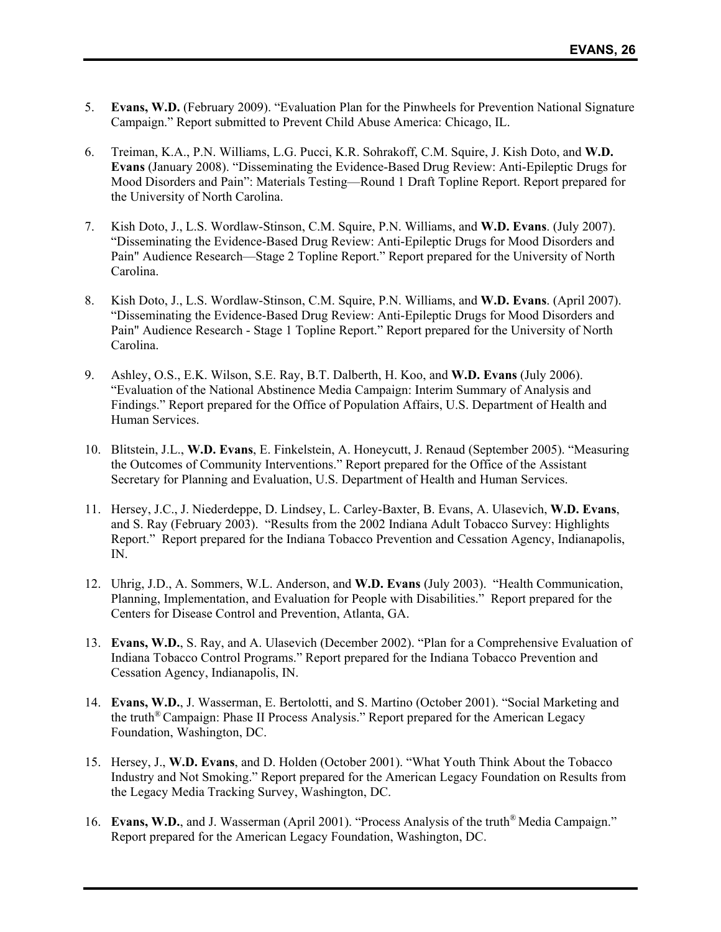- 5. **Evans, W.D.** (February 2009). "Evaluation Plan for the Pinwheels for Prevention National Signature Campaign." Report submitted to Prevent Child Abuse America: Chicago, IL.
- 6. Treiman, K.A., P.N. Williams, L.G. Pucci, K.R. Sohrakoff, C.M. Squire, J. Kish Doto, and **W.D. Evans** (January 2008). "Disseminating the Evidence-Based Drug Review: Anti-Epileptic Drugs for Mood Disorders and Pain": Materials Testing—Round 1 Draft Topline Report. Report prepared for the University of North Carolina.
- 7. Kish Doto, J., L.S. Wordlaw-Stinson, C.M. Squire, P.N. Williams, and **W.D. Evans**. (July 2007). "Disseminating the Evidence-Based Drug Review: Anti-Epileptic Drugs for Mood Disorders and Pain" Audience Research—Stage 2 Topline Report." Report prepared for the University of North Carolina.
- 8. Kish Doto, J., L.S. Wordlaw-Stinson, C.M. Squire, P.N. Williams, and **W.D. Evans**. (April 2007). "Disseminating the Evidence-Based Drug Review: Anti-Epileptic Drugs for Mood Disorders and Pain" Audience Research - Stage 1 Topline Report." Report prepared for the University of North Carolina.
- 9. Ashley, O.S., E.K. Wilson, S.E. Ray, B.T. Dalberth, H. Koo, and **W.D. Evans** (July 2006). "Evaluation of the National Abstinence Media Campaign: Interim Summary of Analysis and Findings." Report prepared for the Office of Population Affairs, U.S. Department of Health and Human Services.
- 10. Blitstein, J.L., **W.D. Evans**, E. Finkelstein, A. Honeycutt, J. Renaud (September 2005). "Measuring the Outcomes of Community Interventions." Report prepared for the Office of the Assistant Secretary for Planning and Evaluation, U.S. Department of Health and Human Services.
- 11. Hersey, J.C., J. Niederdeppe, D. Lindsey, L. Carley-Baxter, B. Evans, A. Ulasevich, **W.D. Evans**, and S. Ray (February 2003). "Results from the 2002 Indiana Adult Tobacco Survey: Highlights Report." Report prepared for the Indiana Tobacco Prevention and Cessation Agency, Indianapolis, IN.
- 12. Uhrig, J.D., A. Sommers, W.L. Anderson, and **W.D. Evans** (July 2003). "Health Communication, Planning, Implementation, and Evaluation for People with Disabilities." Report prepared for the Centers for Disease Control and Prevention, Atlanta, GA.
- 13. **Evans, W.D.**, S. Ray, and A. Ulasevich (December 2002). "Plan for a Comprehensive Evaluation of Indiana Tobacco Control Programs." Report prepared for the Indiana Tobacco Prevention and Cessation Agency, Indianapolis, IN.
- 14. **Evans, W.D.**, J. Wasserman, E. Bertolotti, and S. Martino (October 2001). "Social Marketing and the truth® Campaign: Phase II Process Analysis." Report prepared for the American Legacy Foundation, Washington, DC.
- 15. Hersey, J., **W.D. Evans**, and D. Holden (October 2001). "What Youth Think About the Tobacco Industry and Not Smoking." Report prepared for the American Legacy Foundation on Results from the Legacy Media Tracking Survey, Washington, DC.
- 16. **Evans, W.D.**, and J. Wasserman (April 2001). "Process Analysis of the truth® Media Campaign." Report prepared for the American Legacy Foundation, Washington, DC.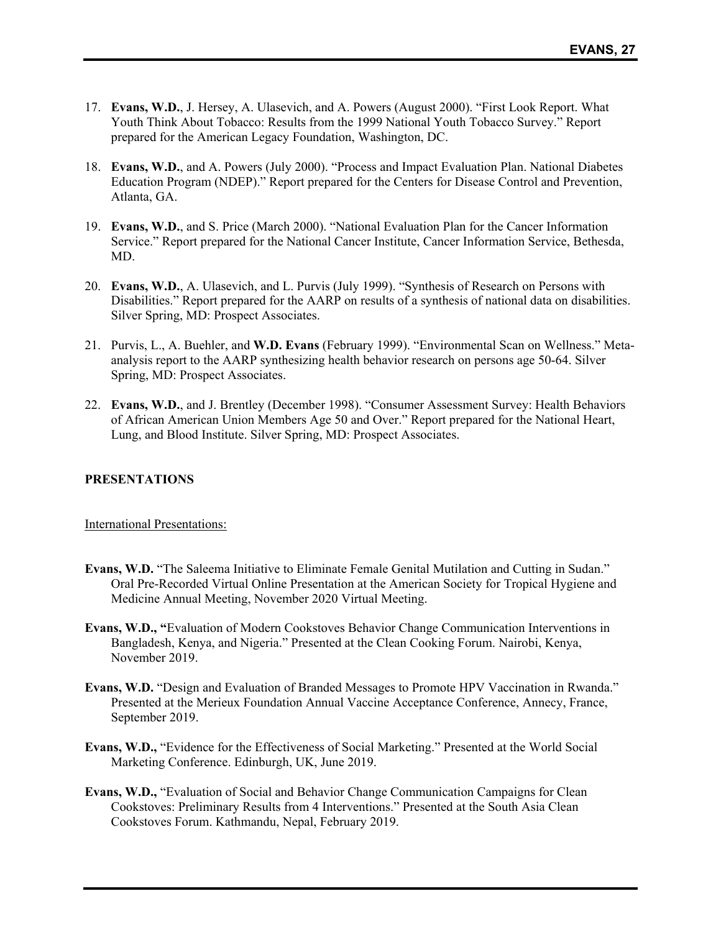- 17. **Evans, W.D.**, J. Hersey, A. Ulasevich, and A. Powers (August 2000). "First Look Report. What Youth Think About Tobacco: Results from the 1999 National Youth Tobacco Survey." Report prepared for the American Legacy Foundation, Washington, DC.
- 18. **Evans, W.D.**, and A. Powers (July 2000). "Process and Impact Evaluation Plan. National Diabetes Education Program (NDEP)." Report prepared for the Centers for Disease Control and Prevention, Atlanta, GA.
- 19. **Evans, W.D.**, and S. Price (March 2000). "National Evaluation Plan for the Cancer Information Service." Report prepared for the National Cancer Institute, Cancer Information Service, Bethesda, MD.
- 20. **Evans, W.D.**, A. Ulasevich, and L. Purvis (July 1999). "Synthesis of Research on Persons with Disabilities." Report prepared for the AARP on results of a synthesis of national data on disabilities. Silver Spring, MD: Prospect Associates.
- 21. Purvis, L., A. Buehler, and **W.D. Evans** (February 1999). "Environmental Scan on Wellness." Metaanalysis report to the AARP synthesizing health behavior research on persons age 50-64. Silver Spring, MD: Prospect Associates.
- 22. **Evans, W.D.**, and J. Brentley (December 1998). "Consumer Assessment Survey: Health Behaviors of African American Union Members Age 50 and Over." Report prepared for the National Heart, Lung, and Blood Institute. Silver Spring, MD: Prospect Associates.

## **PRESENTATIONS**

International Presentations:

- **Evans, W.D.** "The Saleema Initiative to Eliminate Female Genital Mutilation and Cutting in Sudan." Oral Pre-Recorded Virtual Online Presentation at the American Society for Tropical Hygiene and Medicine Annual Meeting, November 2020 Virtual Meeting.
- **Evans, W.D., "**Evaluation of Modern Cookstoves Behavior Change Communication Interventions in Bangladesh, Kenya, and Nigeria." Presented at the Clean Cooking Forum. Nairobi, Kenya, November 2019.
- **Evans, W.D.** "Design and Evaluation of Branded Messages to Promote HPV Vaccination in Rwanda." Presented at the Merieux Foundation Annual Vaccine Acceptance Conference, Annecy, France, September 2019.
- **Evans, W.D.,** "Evidence for the Effectiveness of Social Marketing." Presented at the World Social Marketing Conference. Edinburgh, UK, June 2019.
- **Evans, W.D.,** "Evaluation of Social and Behavior Change Communication Campaigns for Clean Cookstoves: Preliminary Results from 4 Interventions." Presented at the South Asia Clean Cookstoves Forum. Kathmandu, Nepal, February 2019.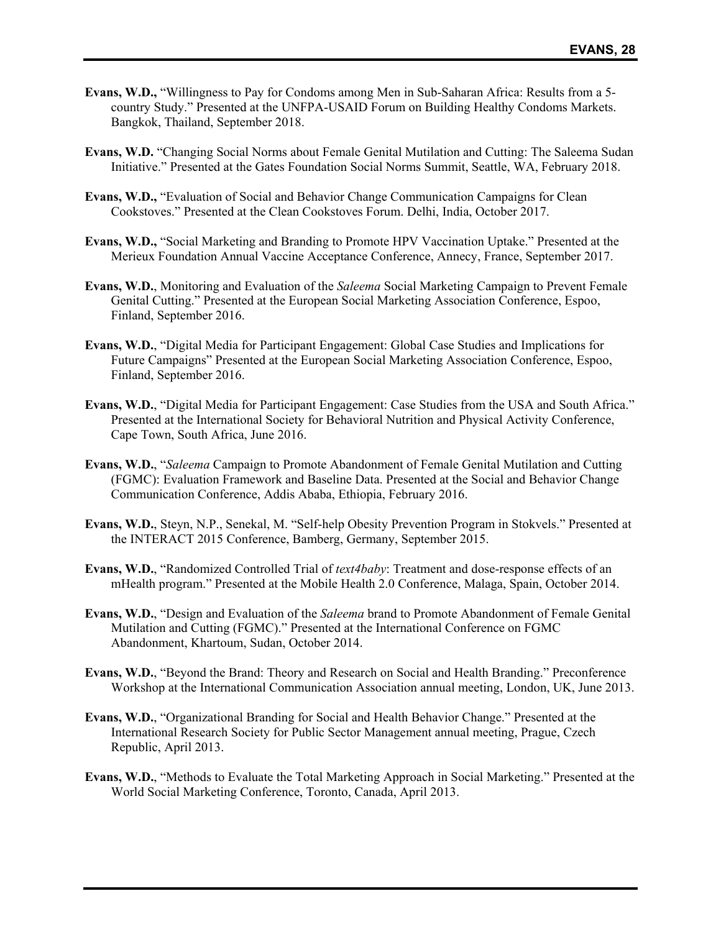- **Evans, W.D.,** "Willingness to Pay for Condoms among Men in Sub-Saharan Africa: Results from a 5 country Study." Presented at the UNFPA-USAID Forum on Building Healthy Condoms Markets. Bangkok, Thailand, September 2018.
- **Evans, W.D.** "Changing Social Norms about Female Genital Mutilation and Cutting: The Saleema Sudan Initiative." Presented at the Gates Foundation Social Norms Summit, Seattle, WA, February 2018.
- **Evans, W.D.,** "Evaluation of Social and Behavior Change Communication Campaigns for Clean Cookstoves." Presented at the Clean Cookstoves Forum. Delhi, India, October 2017.
- **Evans, W.D.,** "Social Marketing and Branding to Promote HPV Vaccination Uptake." Presented at the Merieux Foundation Annual Vaccine Acceptance Conference, Annecy, France, September 2017.
- **Evans, W.D.**, Monitoring and Evaluation of the *Saleema* Social Marketing Campaign to Prevent Female Genital Cutting." Presented at the European Social Marketing Association Conference, Espoo, Finland, September 2016.
- **Evans, W.D.**, "Digital Media for Participant Engagement: Global Case Studies and Implications for Future Campaigns" Presented at the European Social Marketing Association Conference, Espoo, Finland, September 2016.
- **Evans, W.D.**, "Digital Media for Participant Engagement: Case Studies from the USA and South Africa." Presented at the International Society for Behavioral Nutrition and Physical Activity Conference, Cape Town, South Africa, June 2016.
- **Evans, W.D.**, "*Saleema* Campaign to Promote Abandonment of Female Genital Mutilation and Cutting (FGMC): Evaluation Framework and Baseline Data. Presented at the Social and Behavior Change Communication Conference, Addis Ababa, Ethiopia, February 2016.
- **Evans, W.D.**, Steyn, N.P., Senekal, M. "Self-help Obesity Prevention Program in Stokvels." Presented at the INTERACT 2015 Conference, Bamberg, Germany, September 2015.
- **Evans, W.D.**, "Randomized Controlled Trial of *text4baby*: Treatment and dose-response effects of an mHealth program." Presented at the Mobile Health 2.0 Conference, Malaga, Spain, October 2014.
- **Evans, W.D.**, "Design and Evaluation of the *Saleema* brand to Promote Abandonment of Female Genital Mutilation and Cutting (FGMC)." Presented at the International Conference on FGMC Abandonment, Khartoum, Sudan, October 2014.
- **Evans, W.D.**, "Beyond the Brand: Theory and Research on Social and Health Branding." Preconference Workshop at the International Communication Association annual meeting, London, UK, June 2013.
- **Evans, W.D.**, "Organizational Branding for Social and Health Behavior Change." Presented at the International Research Society for Public Sector Management annual meeting, Prague, Czech Republic, April 2013.
- **Evans, W.D.**, "Methods to Evaluate the Total Marketing Approach in Social Marketing." Presented at the World Social Marketing Conference, Toronto, Canada, April 2013.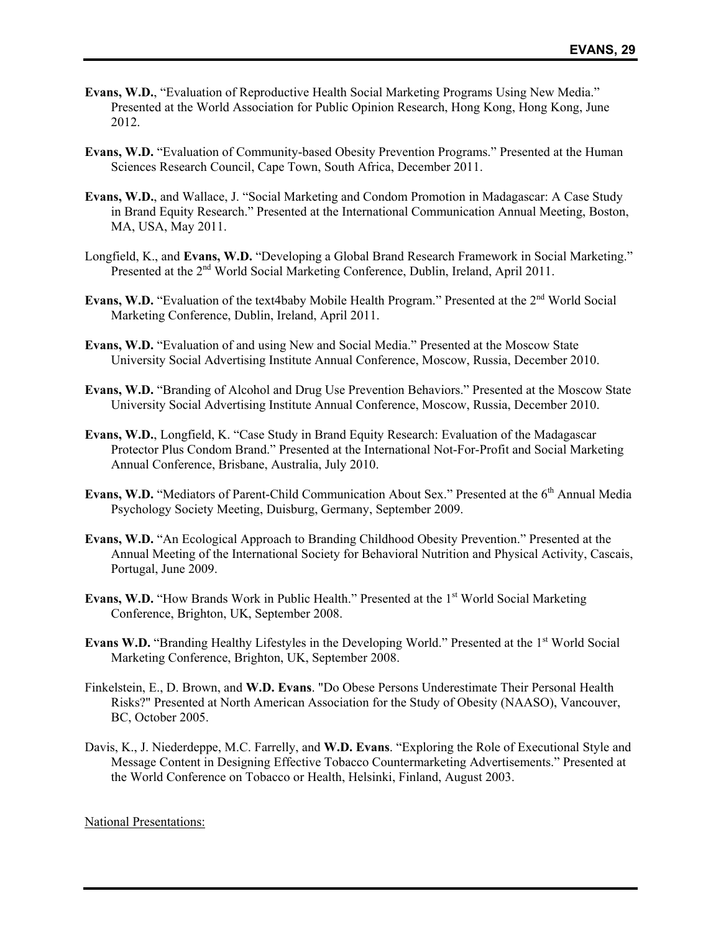- **Evans, W.D.**, "Evaluation of Reproductive Health Social Marketing Programs Using New Media." Presented at the World Association for Public Opinion Research, Hong Kong, Hong Kong, June 2012.
- **Evans, W.D.** "Evaluation of Community-based Obesity Prevention Programs." Presented at the Human Sciences Research Council, Cape Town, South Africa, December 2011.
- **Evans, W.D.**, and Wallace, J. "Social Marketing and Condom Promotion in Madagascar: A Case Study in Brand Equity Research." Presented at the International Communication Annual Meeting, Boston, MA, USA, May 2011.
- Longfield, K., and **Evans, W.D.** "Developing a Global Brand Research Framework in Social Marketing." Presented at the 2<sup>nd</sup> World Social Marketing Conference, Dublin, Ireland, April 2011.
- **Evans, W.D.** "Evaluation of the text4baby Mobile Health Program." Presented at the 2<sup>nd</sup> World Social Marketing Conference, Dublin, Ireland, April 2011.
- **Evans, W.D.** "Evaluation of and using New and Social Media." Presented at the Moscow State University Social Advertising Institute Annual Conference, Moscow, Russia, December 2010.
- **Evans, W.D.** "Branding of Alcohol and Drug Use Prevention Behaviors." Presented at the Moscow State University Social Advertising Institute Annual Conference, Moscow, Russia, December 2010.
- **Evans, W.D.**, Longfield, K. "Case Study in Brand Equity Research: Evaluation of the Madagascar Protector Plus Condom Brand." Presented at the International Not-For-Profit and Social Marketing Annual Conference, Brisbane, Australia, July 2010.
- Evans, W.D. "Mediators of Parent-Child Communication About Sex." Presented at the 6<sup>th</sup> Annual Media Psychology Society Meeting, Duisburg, Germany, September 2009.
- **Evans, W.D.** "An Ecological Approach to Branding Childhood Obesity Prevention." Presented at the Annual Meeting of the International Society for Behavioral Nutrition and Physical Activity, Cascais, Portugal, June 2009.
- **Evans, W.D.** "How Brands Work in Public Health." Presented at the 1<sup>st</sup> World Social Marketing Conference, Brighton, UK, September 2008.
- **Evans W.D.** "Branding Healthy Lifestyles in the Developing World." Presented at the 1<sup>st</sup> World Social Marketing Conference, Brighton, UK, September 2008.
- Finkelstein, E., D. Brown, and **W.D. Evans**. "Do Obese Persons Underestimate Their Personal Health Risks?" Presented at North American Association for the Study of Obesity (NAASO), Vancouver, BC, October 2005.
- Davis, K., J. Niederdeppe, M.C. Farrelly, and **W.D. Evans**. "Exploring the Role of Executional Style and Message Content in Designing Effective Tobacco Countermarketing Advertisements." Presented at the World Conference on Tobacco or Health, Helsinki, Finland, August 2003.

National Presentations: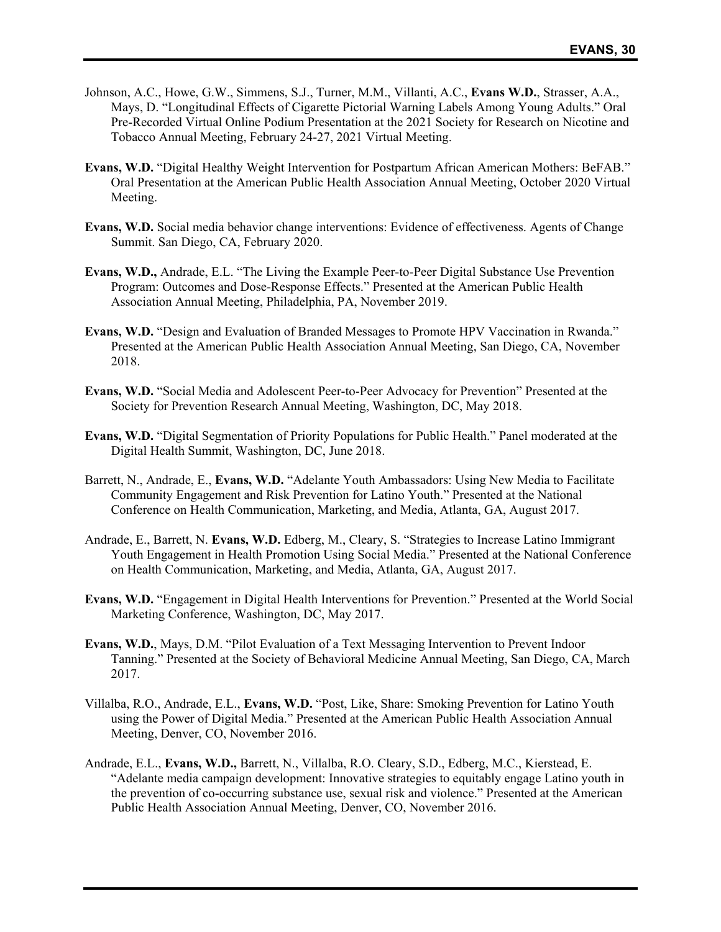- Johnson, A.C., Howe, G.W., Simmens, S.J., Turner, M.M., Villanti, A.C., **Evans W.D.**, Strasser, A.A., Mays, D. "Longitudinal Effects of Cigarette Pictorial Warning Labels Among Young Adults." Oral Pre-Recorded Virtual Online Podium Presentation at the 2021 Society for Research on Nicotine and Tobacco Annual Meeting, February 24-27, 2021 Virtual Meeting.
- **Evans, W.D.** "Digital Healthy Weight Intervention for Postpartum African American Mothers: BeFAB." Oral Presentation at the American Public Health Association Annual Meeting, October 2020 Virtual Meeting.
- **Evans, W.D.** Social media behavior change interventions: Evidence of effectiveness. Agents of Change Summit. San Diego, CA, February 2020.
- **Evans, W.D.,** Andrade, E.L. "The Living the Example Peer-to-Peer Digital Substance Use Prevention Program: Outcomes and Dose-Response Effects." Presented at the American Public Health Association Annual Meeting, Philadelphia, PA, November 2019.
- **Evans, W.D.** "Design and Evaluation of Branded Messages to Promote HPV Vaccination in Rwanda." Presented at the American Public Health Association Annual Meeting, San Diego, CA, November 2018.
- **Evans, W.D.** "Social Media and Adolescent Peer-to-Peer Advocacy for Prevention" Presented at the Society for Prevention Research Annual Meeting, Washington, DC, May 2018.
- **Evans, W.D.** "Digital Segmentation of Priority Populations for Public Health." Panel moderated at the Digital Health Summit, Washington, DC, June 2018.
- Barrett, N., Andrade, E., **Evans, W.D.** "Adelante Youth Ambassadors: Using New Media to Facilitate Community Engagement and Risk Prevention for Latino Youth." Presented at the National Conference on Health Communication, Marketing, and Media, Atlanta, GA, August 2017.
- Andrade, E., Barrett, N. **Evans, W.D.** Edberg, M., Cleary, S. "Strategies to Increase Latino Immigrant Youth Engagement in Health Promotion Using Social Media." Presented at the National Conference on Health Communication, Marketing, and Media, Atlanta, GA, August 2017.
- **Evans, W.D.** "Engagement in Digital Health Interventions for Prevention." Presented at the World Social Marketing Conference, Washington, DC, May 2017.
- **Evans, W.D.**, Mays, D.M. "Pilot Evaluation of a Text Messaging Intervention to Prevent Indoor Tanning." Presented at the Society of Behavioral Medicine Annual Meeting, San Diego, CA, March 2017.
- Villalba, R.O., Andrade, E.L., **Evans, W.D.** "Post, Like, Share: Smoking Prevention for Latino Youth using the Power of Digital Media." Presented at the American Public Health Association Annual Meeting, Denver, CO, November 2016.
- Andrade, E.L., **Evans, W.D.,** Barrett, N., Villalba, R.O. Cleary, S.D., Edberg, M.C., Kierstead, E. "Adelante media campaign development: Innovative strategies to equitably engage Latino youth in the prevention of co-occurring substance use, sexual risk and violence." Presented at the American Public Health Association Annual Meeting, Denver, CO, November 2016.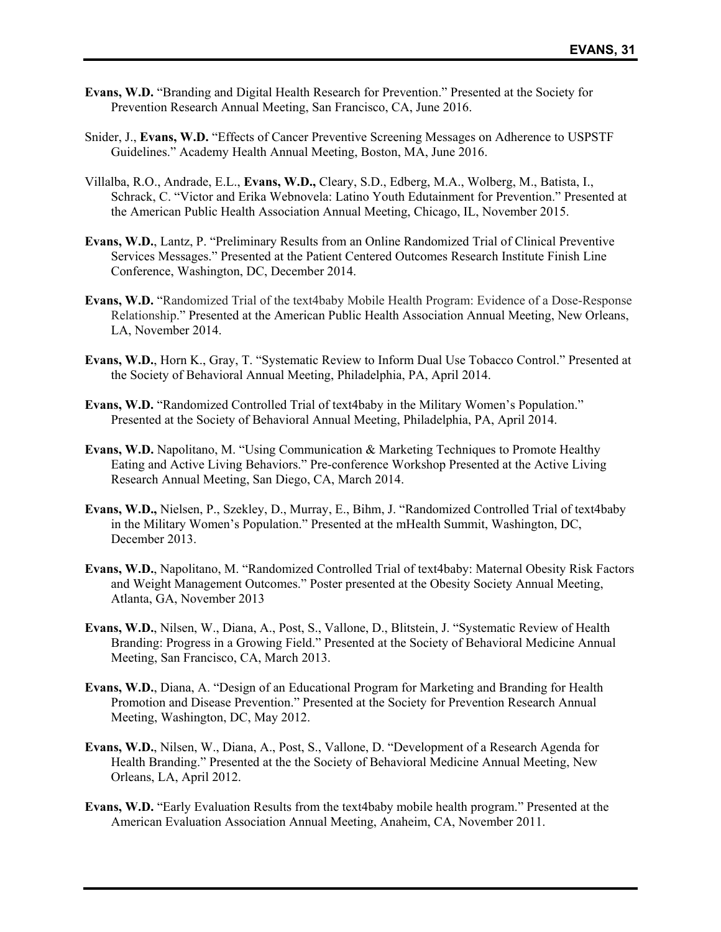- **Evans, W.D.** "Branding and Digital Health Research for Prevention." Presented at the Society for Prevention Research Annual Meeting, San Francisco, CA, June 2016.
- Snider, J., **Evans, W.D.** "Effects of Cancer Preventive Screening Messages on Adherence to USPSTF Guidelines." Academy Health Annual Meeting, Boston, MA, June 2016.
- Villalba, R.O., Andrade, E.L., **Evans, W.D.,** Cleary, S.D., Edberg, M.A., Wolberg, M., Batista, I., Schrack, C. "Victor and Erika Webnovela: Latino Youth Edutainment for Prevention." Presented at the American Public Health Association Annual Meeting, Chicago, IL, November 2015.
- **Evans, W.D.**, Lantz, P. "Preliminary Results from an Online Randomized Trial of Clinical Preventive Services Messages." Presented at the Patient Centered Outcomes Research Institute Finish Line Conference, Washington, DC, December 2014.
- **Evans, W.D.** "Randomized Trial of the text4baby Mobile Health Program: Evidence of a Dose-Response Relationship." Presented at the American Public Health Association Annual Meeting, New Orleans, LA, November 2014.
- **Evans, W.D.**, Horn K., Gray, T. "Systematic Review to Inform Dual Use Tobacco Control." Presented at the Society of Behavioral Annual Meeting, Philadelphia, PA, April 2014.
- **Evans, W.D.** "Randomized Controlled Trial of text4baby in the Military Women's Population." Presented at the Society of Behavioral Annual Meeting, Philadelphia, PA, April 2014.
- **Evans, W.D.** Napolitano, M. "Using Communication & Marketing Techniques to Promote Healthy Eating and Active Living Behaviors." Pre-conference Workshop Presented at the Active Living Research Annual Meeting, San Diego, CA, March 2014.
- **Evans, W.D.,** Nielsen, P., Szekley, D., Murray, E., Bihm, J. "Randomized Controlled Trial of text4baby in the Military Women's Population." Presented at the mHealth Summit, Washington, DC, December 2013.
- **Evans, W.D.**, Napolitano, M. "Randomized Controlled Trial of text4baby: Maternal Obesity Risk Factors and Weight Management Outcomes." Poster presented at the Obesity Society Annual Meeting, Atlanta, GA, November 2013
- **Evans, W.D.**, Nilsen, W., Diana, A., Post, S., Vallone, D., Blitstein, J. "Systematic Review of Health Branding: Progress in a Growing Field." Presented at the Society of Behavioral Medicine Annual Meeting, San Francisco, CA, March 2013.
- **Evans, W.D.**, Diana, A. "Design of an Educational Program for Marketing and Branding for Health Promotion and Disease Prevention." Presented at the Society for Prevention Research Annual Meeting, Washington, DC, May 2012.
- **Evans, W.D.**, Nilsen, W., Diana, A., Post, S., Vallone, D. "Development of a Research Agenda for Health Branding." Presented at the the Society of Behavioral Medicine Annual Meeting, New Orleans, LA, April 2012.
- **Evans, W.D.** "Early Evaluation Results from the text4baby mobile health program." Presented at the American Evaluation Association Annual Meeting, Anaheim, CA, November 2011.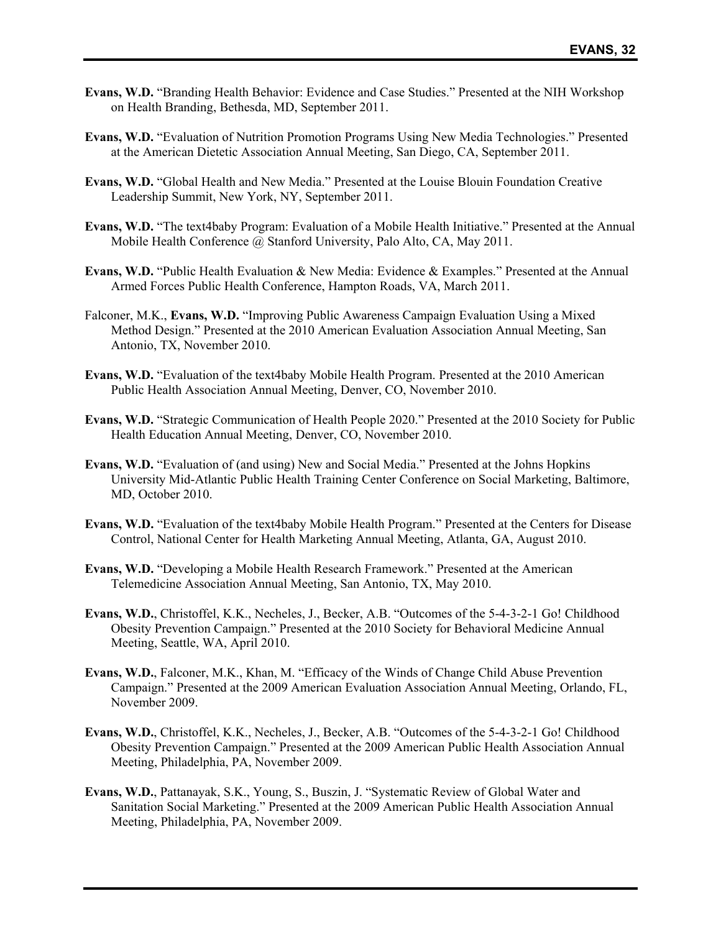- **Evans, W.D.** "Branding Health Behavior: Evidence and Case Studies." Presented at the NIH Workshop on Health Branding, Bethesda, MD, September 2011.
- **Evans, W.D.** "Evaluation of Nutrition Promotion Programs Using New Media Technologies." Presented at the American Dietetic Association Annual Meeting, San Diego, CA, September 2011.
- **Evans, W.D.** "Global Health and New Media." Presented at the Louise Blouin Foundation Creative Leadership Summit, New York, NY, September 2011.
- **Evans, W.D.** "The text4baby Program: Evaluation of a Mobile Health Initiative." Presented at the Annual Mobile Health Conference @ Stanford University, Palo Alto, CA, May 2011.
- **Evans, W.D.** "Public Health Evaluation & New Media: Evidence & Examples." Presented at the Annual Armed Forces Public Health Conference, Hampton Roads, VA, March 2011.
- Falconer, M.K., **Evans, W.D.** "Improving Public Awareness Campaign Evaluation Using a Mixed Method Design." Presented at the 2010 American Evaluation Association Annual Meeting, San Antonio, TX, November 2010.
- **Evans, W.D.** "Evaluation of the text4baby Mobile Health Program. Presented at the 2010 American Public Health Association Annual Meeting, Denver, CO, November 2010.
- **Evans, W.D.** "Strategic Communication of Health People 2020." Presented at the 2010 Society for Public Health Education Annual Meeting, Denver, CO, November 2010.
- **Evans, W.D.** "Evaluation of (and using) New and Social Media." Presented at the Johns Hopkins University Mid-Atlantic Public Health Training Center Conference on Social Marketing, Baltimore, MD, October 2010.
- **Evans, W.D.** "Evaluation of the text4baby Mobile Health Program." Presented at the Centers for Disease Control, National Center for Health Marketing Annual Meeting, Atlanta, GA, August 2010.
- **Evans, W.D.** "Developing a Mobile Health Research Framework." Presented at the American Telemedicine Association Annual Meeting, San Antonio, TX, May 2010.
- **Evans, W.D.**, Christoffel, K.K., Necheles, J., Becker, A.B. "Outcomes of the 5-4-3-2-1 Go! Childhood Obesity Prevention Campaign." Presented at the 2010 Society for Behavioral Medicine Annual Meeting, Seattle, WA, April 2010.
- **Evans, W.D.**, Falconer, M.K., Khan, M. "Efficacy of the Winds of Change Child Abuse Prevention Campaign." Presented at the 2009 American Evaluation Association Annual Meeting, Orlando, FL, November 2009.
- **Evans, W.D.**, Christoffel, K.K., Necheles, J., Becker, A.B. "Outcomes of the 5-4-3-2-1 Go! Childhood Obesity Prevention Campaign." Presented at the 2009 American Public Health Association Annual Meeting, Philadelphia, PA, November 2009.
- **Evans, W.D.**, Pattanayak, S.K., Young, S., Buszin, J. "Systematic Review of Global Water and Sanitation Social Marketing." Presented at the 2009 American Public Health Association Annual Meeting, Philadelphia, PA, November 2009.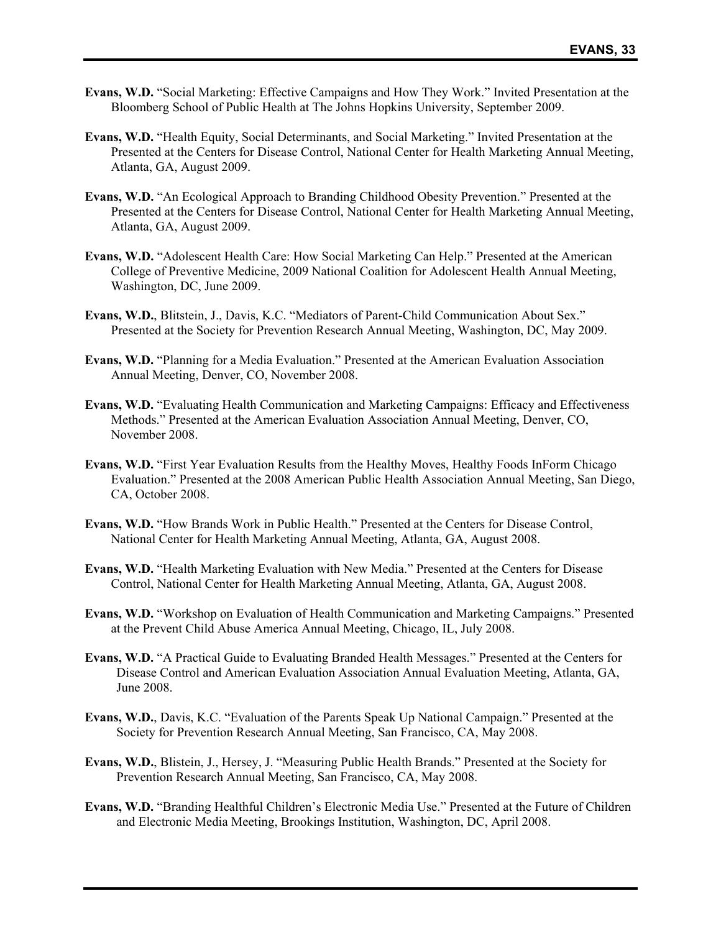- **Evans, W.D.** "Social Marketing: Effective Campaigns and How They Work." Invited Presentation at the Bloomberg School of Public Health at The Johns Hopkins University, September 2009.
- **Evans, W.D.** "Health Equity, Social Determinants, and Social Marketing." Invited Presentation at the Presented at the Centers for Disease Control, National Center for Health Marketing Annual Meeting, Atlanta, GA, August 2009.
- **Evans, W.D.** "An Ecological Approach to Branding Childhood Obesity Prevention." Presented at the Presented at the Centers for Disease Control, National Center for Health Marketing Annual Meeting, Atlanta, GA, August 2009.
- **Evans, W.D.** "Adolescent Health Care: How Social Marketing Can Help." Presented at the American College of Preventive Medicine, 2009 National Coalition for Adolescent Health Annual Meeting, Washington, DC, June 2009.
- **Evans, W.D.**, Blitstein, J., Davis, K.C. "Mediators of Parent-Child Communication About Sex." Presented at the Society for Prevention Research Annual Meeting, Washington, DC, May 2009.
- **Evans, W.D.** "Planning for a Media Evaluation." Presented at the American Evaluation Association Annual Meeting, Denver, CO, November 2008.
- **Evans, W.D.** "Evaluating Health Communication and Marketing Campaigns: Efficacy and Effectiveness Methods." Presented at the American Evaluation Association Annual Meeting, Denver, CO, November 2008.
- **Evans, W.D.** "First Year Evaluation Results from the Healthy Moves, Healthy Foods InForm Chicago Evaluation." Presented at the 2008 American Public Health Association Annual Meeting, San Diego, CA, October 2008.
- **Evans, W.D.** "How Brands Work in Public Health." Presented at the Centers for Disease Control, National Center for Health Marketing Annual Meeting, Atlanta, GA, August 2008.
- **Evans, W.D.** "Health Marketing Evaluation with New Media." Presented at the Centers for Disease Control, National Center for Health Marketing Annual Meeting, Atlanta, GA, August 2008.
- **Evans, W.D.** "Workshop on Evaluation of Health Communication and Marketing Campaigns." Presented at the Prevent Child Abuse America Annual Meeting, Chicago, IL, July 2008.
- **Evans, W.D.** "A Practical Guide to Evaluating Branded Health Messages." Presented at the Centers for Disease Control and American Evaluation Association Annual Evaluation Meeting, Atlanta, GA, June 2008.
- **Evans, W.D.**, Davis, K.C. "Evaluation of the Parents Speak Up National Campaign." Presented at the Society for Prevention Research Annual Meeting, San Francisco, CA, May 2008.
- **Evans, W.D.**, Blistein, J., Hersey, J. "Measuring Public Health Brands." Presented at the Society for Prevention Research Annual Meeting, San Francisco, CA, May 2008.
- **Evans, W.D.** "Branding Healthful Children's Electronic Media Use." Presented at the Future of Children and Electronic Media Meeting, Brookings Institution, Washington, DC, April 2008.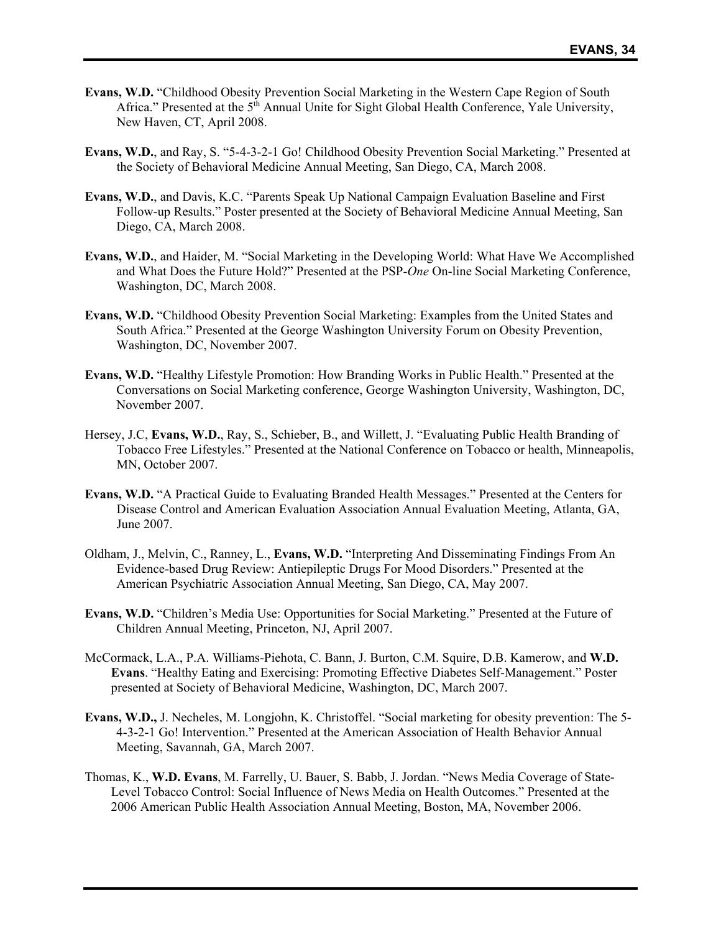- **Evans, W.D.** "Childhood Obesity Prevention Social Marketing in the Western Cape Region of South Africa." Presented at the 5<sup>th</sup> Annual Unite for Sight Global Health Conference, Yale University, New Haven, CT, April 2008.
- **Evans, W.D.**, and Ray, S. "5-4-3-2-1 Go! Childhood Obesity Prevention Social Marketing." Presented at the Society of Behavioral Medicine Annual Meeting, San Diego, CA, March 2008.
- **Evans, W.D.**, and Davis, K.C. "Parents Speak Up National Campaign Evaluation Baseline and First Follow-up Results." Poster presented at the Society of Behavioral Medicine Annual Meeting, San Diego, CA, March 2008.
- **Evans, W.D.**, and Haider, M. "Social Marketing in the Developing World: What Have We Accomplished and What Does the Future Hold?" Presented at the PSP*-One* On-line Social Marketing Conference, Washington, DC, March 2008.
- **Evans, W.D.** "Childhood Obesity Prevention Social Marketing: Examples from the United States and South Africa." Presented at the George Washington University Forum on Obesity Prevention, Washington, DC, November 2007.
- **Evans, W.D.** "Healthy Lifestyle Promotion: How Branding Works in Public Health." Presented at the Conversations on Social Marketing conference, George Washington University, Washington, DC, November 2007.
- Hersey, J.C, **Evans, W.D.**, Ray, S., Schieber, B., and Willett, J. "Evaluating Public Health Branding of Tobacco Free Lifestyles." Presented at the National Conference on Tobacco or health, Minneapolis, MN, October 2007.
- **Evans, W.D.** "A Practical Guide to Evaluating Branded Health Messages." Presented at the Centers for Disease Control and American Evaluation Association Annual Evaluation Meeting, Atlanta, GA, June 2007.
- Oldham, J., Melvin, C., Ranney, L., **Evans, W.D.** "Interpreting And Disseminating Findings From An Evidence-based Drug Review: Antiepileptic Drugs For Mood Disorders." Presented at the American Psychiatric Association Annual Meeting, San Diego, CA, May 2007.
- **Evans, W.D.** "Children's Media Use: Opportunities for Social Marketing." Presented at the Future of Children Annual Meeting, Princeton, NJ, April 2007.
- McCormack, L.A., P.A. Williams-Piehota, C. Bann, J. Burton, C.M. Squire, D.B. Kamerow, and **W.D. Evans**. "Healthy Eating and Exercising: Promoting Effective Diabetes Self-Management." Poster presented at Society of Behavioral Medicine, Washington, DC, March 2007.
- **Evans, W.D.,** J. Necheles, M. Longjohn, K. Christoffel. "Social marketing for obesity prevention: The 5- 4-3-2-1 Go! Intervention." Presented at the American Association of Health Behavior Annual Meeting, Savannah, GA, March 2007.
- Thomas, K., **W.D. Evans**, M. Farrelly, U. Bauer, S. Babb, J. Jordan. "News Media Coverage of State-Level Tobacco Control: Social Influence of News Media on Health Outcomes." Presented at the 2006 American Public Health Association Annual Meeting, Boston, MA, November 2006.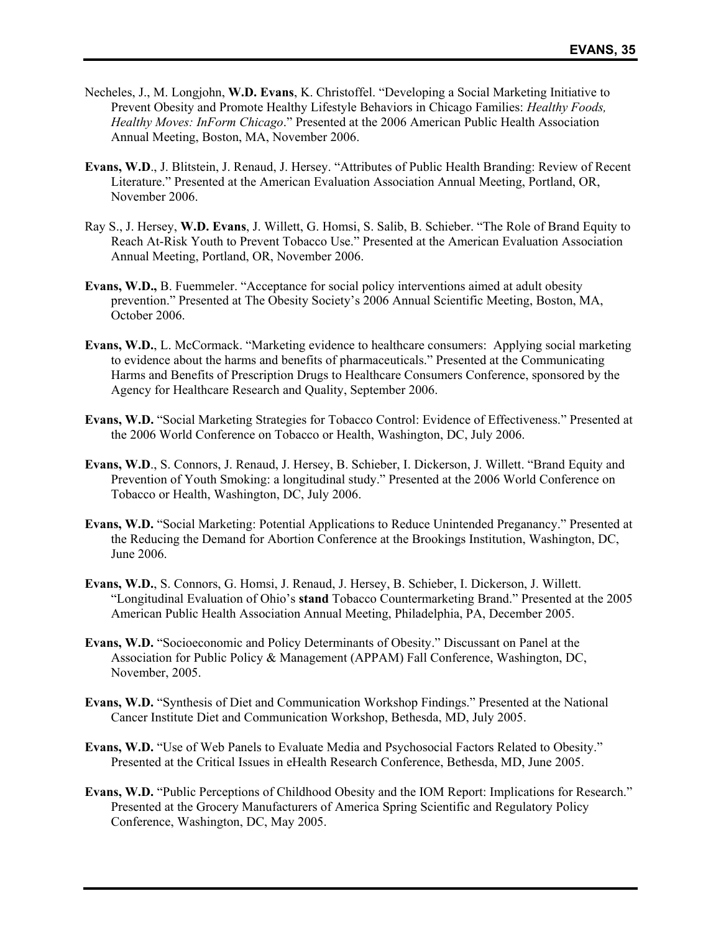- Necheles, J., M. Longjohn, **W.D. Evans**, K. Christoffel. "Developing a Social Marketing Initiative to Prevent Obesity and Promote Healthy Lifestyle Behaviors in Chicago Families: *Healthy Foods, Healthy Moves: InForm Chicago*." Presented at the 2006 American Public Health Association Annual Meeting, Boston, MA, November 2006.
- **Evans, W.D**., J. Blitstein, J. Renaud, J. Hersey. "Attributes of Public Health Branding: Review of Recent Literature." Presented at the American Evaluation Association Annual Meeting, Portland, OR, November 2006.
- Ray S., J. Hersey, **W.D. Evans**, J. Willett, G. Homsi, S. Salib, B. Schieber. "The Role of Brand Equity to Reach At-Risk Youth to Prevent Tobacco Use." Presented at the American Evaluation Association Annual Meeting, Portland, OR, November 2006.
- **Evans, W.D.,** B. Fuemmeler. "Acceptance for social policy interventions aimed at adult obesity prevention." Presented at The Obesity Society's 2006 Annual Scientific Meeting, Boston, MA, October 2006.
- **Evans, W.D.,** L. McCormack. "Marketing evidence to healthcare consumers: Applying social marketing to evidence about the harms and benefits of pharmaceuticals." Presented at the Communicating Harms and Benefits of Prescription Drugs to Healthcare Consumers Conference, sponsored by the Agency for Healthcare Research and Quality, September 2006.
- **Evans, W.D.** "Social Marketing Strategies for Tobacco Control: Evidence of Effectiveness." Presented at the 2006 World Conference on Tobacco or Health, Washington, DC, July 2006.
- **Evans, W.D**., S. Connors, J. Renaud, J. Hersey, B. Schieber, I. Dickerson, J. Willett. "Brand Equity and Prevention of Youth Smoking: a longitudinal study." Presented at the 2006 World Conference on Tobacco or Health, Washington, DC, July 2006.
- **Evans, W.D.** "Social Marketing: Potential Applications to Reduce Unintended Preganancy." Presented at the Reducing the Demand for Abortion Conference at the Brookings Institution, Washington, DC, June 2006.
- **Evans, W.D.**, S. Connors, G. Homsi, J. Renaud, J. Hersey, B. Schieber, I. Dickerson, J. Willett. "Longitudinal Evaluation of Ohio's **stand** Tobacco Countermarketing Brand." Presented at the 2005 American Public Health Association Annual Meeting, Philadelphia, PA, December 2005.
- **Evans, W.D.** "Socioeconomic and Policy Determinants of Obesity." Discussant on Panel at the Association for Public Policy & Management (APPAM) Fall Conference, Washington, DC, November, 2005.
- **Evans, W.D.** "Synthesis of Diet and Communication Workshop Findings." Presented at the National Cancer Institute Diet and Communication Workshop, Bethesda, MD, July 2005.
- **Evans, W.D.** "Use of Web Panels to Evaluate Media and Psychosocial Factors Related to Obesity." Presented at the Critical Issues in eHealth Research Conference, Bethesda, MD, June 2005.
- **Evans, W.D.** "Public Perceptions of Childhood Obesity and the IOM Report: Implications for Research." Presented at the Grocery Manufacturers of America Spring Scientific and Regulatory Policy Conference, Washington, DC, May 2005.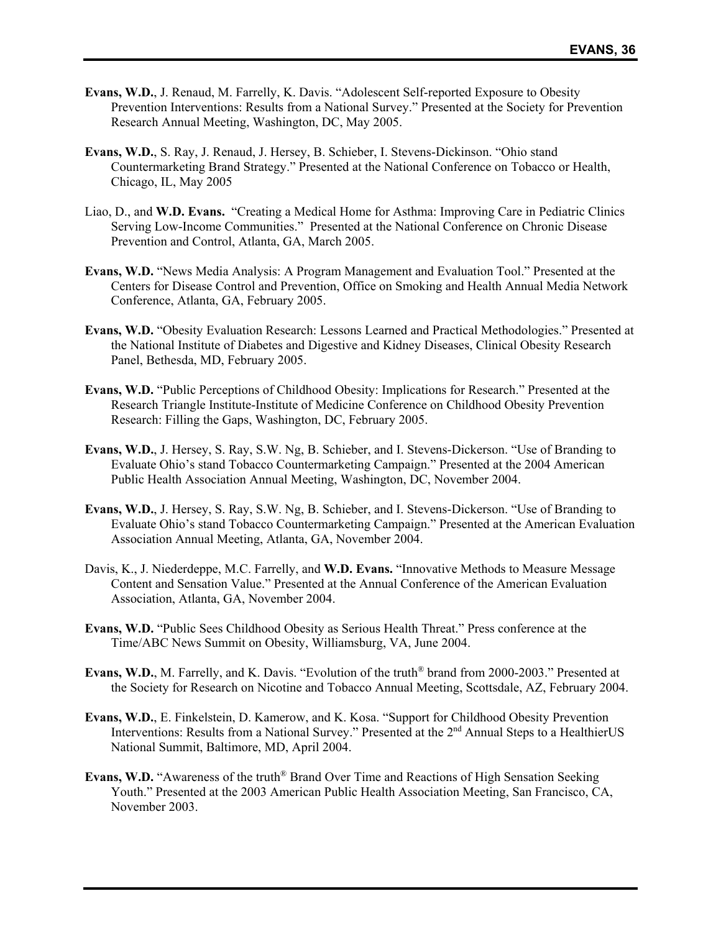- **Evans, W.D.**, J. Renaud, M. Farrelly, K. Davis. "Adolescent Self-reported Exposure to Obesity Prevention Interventions: Results from a National Survey." Presented at the Society for Prevention Research Annual Meeting, Washington, DC, May 2005.
- **Evans, W.D.**, S. Ray, J. Renaud, J. Hersey, B. Schieber, I. Stevens-Dickinson. "Ohio stand Countermarketing Brand Strategy." Presented at the National Conference on Tobacco or Health, Chicago, IL, May 2005
- Liao, D., and **W.D. Evans.** "Creating a Medical Home for Asthma: Improving Care in Pediatric Clinics Serving Low-Income Communities." Presented at the National Conference on Chronic Disease Prevention and Control, Atlanta, GA, March 2005.
- **Evans, W.D.** "News Media Analysis: A Program Management and Evaluation Tool." Presented at the Centers for Disease Control and Prevention, Office on Smoking and Health Annual Media Network Conference, Atlanta, GA, February 2005.
- **Evans, W.D.** "Obesity Evaluation Research: Lessons Learned and Practical Methodologies." Presented at the National Institute of Diabetes and Digestive and Kidney Diseases, Clinical Obesity Research Panel, Bethesda, MD, February 2005.
- **Evans, W.D.** "Public Perceptions of Childhood Obesity: Implications for Research." Presented at the Research Triangle Institute-Institute of Medicine Conference on Childhood Obesity Prevention Research: Filling the Gaps, Washington, DC, February 2005.
- **Evans, W.D.**, J. Hersey, S. Ray, S.W. Ng, B. Schieber, and I. Stevens-Dickerson. "Use of Branding to Evaluate Ohio's stand Tobacco Countermarketing Campaign." Presented at the 2004 American Public Health Association Annual Meeting, Washington, DC, November 2004.
- **Evans, W.D.**, J. Hersey, S. Ray, S.W. Ng, B. Schieber, and I. Stevens-Dickerson. "Use of Branding to Evaluate Ohio's stand Tobacco Countermarketing Campaign." Presented at the American Evaluation Association Annual Meeting, Atlanta, GA, November 2004.
- Davis, K., J. Niederdeppe, M.C. Farrelly, and **W.D. Evans.** "Innovative Methods to Measure Message Content and Sensation Value." Presented at the Annual Conference of the American Evaluation Association, Atlanta, GA, November 2004.
- **Evans, W.D.** "Public Sees Childhood Obesity as Serious Health Threat." Press conference at the Time/ABC News Summit on Obesity, Williamsburg, VA, June 2004.
- **Evans, W.D.**, M. Farrelly, and K. Davis. "Evolution of the truth® brand from 2000-2003." Presented at the Society for Research on Nicotine and Tobacco Annual Meeting, Scottsdale, AZ, February 2004.
- **Evans, W.D.**, E. Finkelstein, D. Kamerow, and K. Kosa. "Support for Childhood Obesity Prevention Interventions: Results from a National Survey." Presented at the 2<sup>nd</sup> Annual Steps to a HealthierUS National Summit, Baltimore, MD, April 2004.
- **Evans, W.D.** "Awareness of the truth® Brand Over Time and Reactions of High Sensation Seeking Youth." Presented at the 2003 American Public Health Association Meeting, San Francisco, CA, November 2003.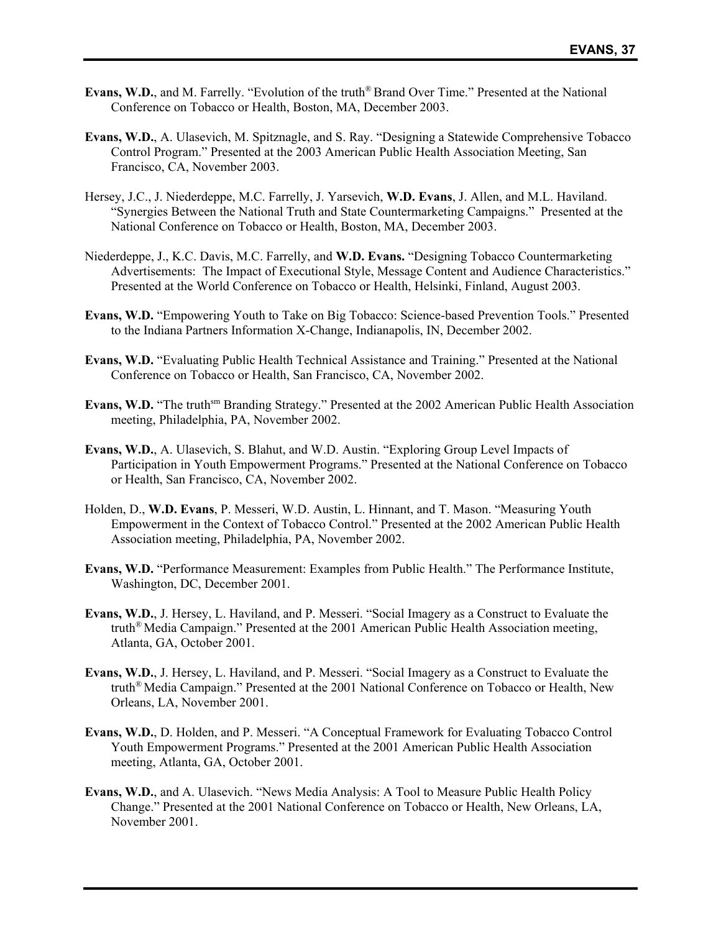- **Evans, W.D.**, and M. Farrelly. "Evolution of the truth® Brand Over Time." Presented at the National Conference on Tobacco or Health, Boston, MA, December 2003.
- **Evans, W.D.**, A. Ulasevich, M. Spitznagle, and S. Ray. "Designing a Statewide Comprehensive Tobacco Control Program." Presented at the 2003 American Public Health Association Meeting, San Francisco, CA, November 2003.
- Hersey, J.C., J. Niederdeppe, M.C. Farrelly, J. Yarsevich, **W.D. Evans**, J. Allen, and M.L. Haviland. "Synergies Between the National Truth and State Countermarketing Campaigns." Presented at the National Conference on Tobacco or Health, Boston, MA, December 2003.
- Niederdeppe, J., K.C. Davis, M.C. Farrelly, and **W.D. Evans.** "Designing Tobacco Countermarketing Advertisements: The Impact of Executional Style, Message Content and Audience Characteristics." Presented at the World Conference on Tobacco or Health, Helsinki, Finland, August 2003.
- **Evans, W.D.** "Empowering Youth to Take on Big Tobacco: Science-based Prevention Tools." Presented to the Indiana Partners Information X-Change, Indianapolis, IN, December 2002.
- **Evans, W.D.** "Evaluating Public Health Technical Assistance and Training." Presented at the National Conference on Tobacco or Health, San Francisco, CA, November 2002.
- **Evans, W.D.** "The truthsm Branding Strategy." Presented at the 2002 American Public Health Association meeting, Philadelphia, PA, November 2002.
- **Evans, W.D.**, A. Ulasevich, S. Blahut, and W.D. Austin. "Exploring Group Level Impacts of Participation in Youth Empowerment Programs." Presented at the National Conference on Tobacco or Health, San Francisco, CA, November 2002.
- Holden, D., **W.D. Evans**, P. Messeri, W.D. Austin, L. Hinnant, and T. Mason. "Measuring Youth Empowerment in the Context of Tobacco Control." Presented at the 2002 American Public Health Association meeting, Philadelphia, PA, November 2002.
- **Evans, W.D.** "Performance Measurement: Examples from Public Health." The Performance Institute, Washington, DC, December 2001.
- **Evans, W.D.**, J. Hersey, L. Haviland, and P. Messeri. "Social Imagery as a Construct to Evaluate the truth® Media Campaign." Presented at the 2001 American Public Health Association meeting, Atlanta, GA, October 2001.
- **Evans, W.D.**, J. Hersey, L. Haviland, and P. Messeri. "Social Imagery as a Construct to Evaluate the truth® Media Campaign." Presented at the 2001 National Conference on Tobacco or Health, New Orleans, LA, November 2001.
- **Evans, W.D.**, D. Holden, and P. Messeri. "A Conceptual Framework for Evaluating Tobacco Control Youth Empowerment Programs." Presented at the 2001 American Public Health Association meeting, Atlanta, GA, October 2001.
- **Evans, W.D.**, and A. Ulasevich. "News Media Analysis: A Tool to Measure Public Health Policy Change." Presented at the 2001 National Conference on Tobacco or Health, New Orleans, LA, November 2001.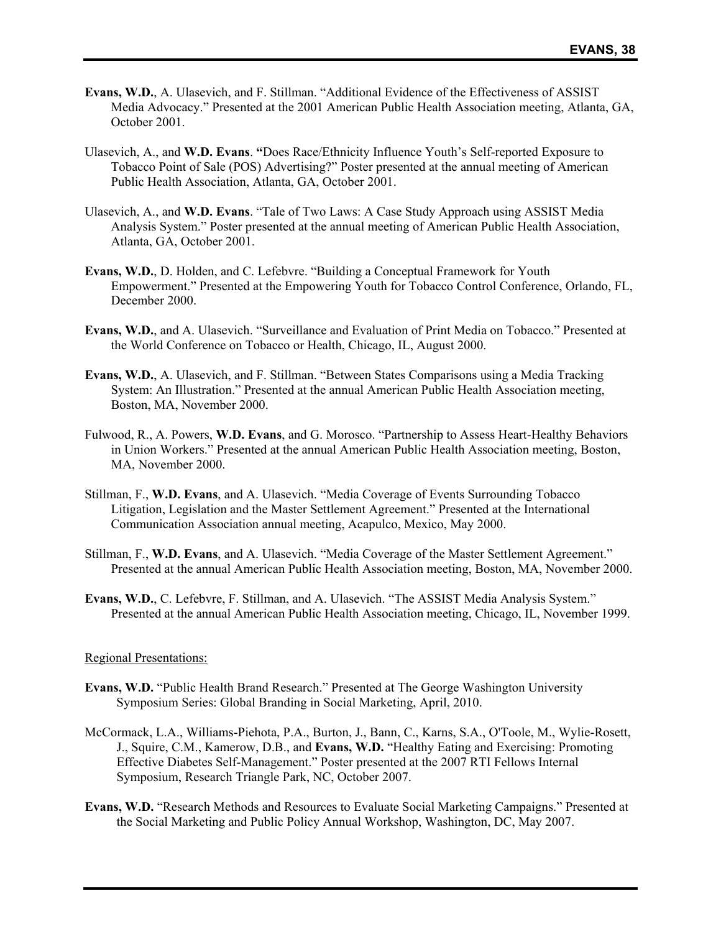- **Evans, W.D.**, A. Ulasevich, and F. Stillman. "Additional Evidence of the Effectiveness of ASSIST Media Advocacy." Presented at the 2001 American Public Health Association meeting, Atlanta, GA, October 2001.
- Ulasevich, A., and **W.D. Evans**. **"**Does Race/Ethnicity Influence Youth's Self-reported Exposure to Tobacco Point of Sale (POS) Advertising?" Poster presented at the annual meeting of American Public Health Association, Atlanta, GA, October 2001.
- Ulasevich, A., and **W.D. Evans**. "Tale of Two Laws: A Case Study Approach using ASSIST Media Analysis System." Poster presented at the annual meeting of American Public Health Association, Atlanta, GA, October 2001.
- **Evans, W.D.**, D. Holden, and C. Lefebvre. "Building a Conceptual Framework for Youth Empowerment." Presented at the Empowering Youth for Tobacco Control Conference, Orlando, FL, December 2000.
- **Evans, W.D.**, and A. Ulasevich. "Surveillance and Evaluation of Print Media on Tobacco." Presented at the World Conference on Tobacco or Health, Chicago, IL, August 2000.
- **Evans, W.D.**, A. Ulasevich, and F. Stillman. "Between States Comparisons using a Media Tracking System: An Illustration." Presented at the annual American Public Health Association meeting, Boston, MA, November 2000.
- Fulwood, R., A. Powers, **W.D. Evans**, and G. Morosco. "Partnership to Assess Heart-Healthy Behaviors in Union Workers." Presented at the annual American Public Health Association meeting, Boston, MA, November 2000.
- Stillman, F., **W.D. Evans**, and A. Ulasevich. "Media Coverage of Events Surrounding Tobacco Litigation, Legislation and the Master Settlement Agreement." Presented at the International Communication Association annual meeting, Acapulco, Mexico, May 2000.
- Stillman, F., **W.D. Evans**, and A. Ulasevich. "Media Coverage of the Master Settlement Agreement." Presented at the annual American Public Health Association meeting, Boston, MA, November 2000.
- **Evans, W.D.**, C. Lefebvre, F. Stillman, and A. Ulasevich. "The ASSIST Media Analysis System." Presented at the annual American Public Health Association meeting, Chicago, IL, November 1999.

#### Regional Presentations:

- **Evans, W.D.** "Public Health Brand Research." Presented at The George Washington University Symposium Series: Global Branding in Social Marketing, April, 2010.
- McCormack, L.A., Williams-Piehota, P.A., Burton, J., Bann, C., Karns, S.A., O'Toole, M., Wylie-Rosett, J., Squire, C.M., Kamerow, D.B., and **Evans, W.D.** "Healthy Eating and Exercising: Promoting Effective Diabetes Self-Management." Poster presented at the 2007 RTI Fellows Internal Symposium, Research Triangle Park, NC, October 2007.
- **Evans, W.D.** "Research Methods and Resources to Evaluate Social Marketing Campaigns." Presented at the Social Marketing and Public Policy Annual Workshop, Washington, DC, May 2007.